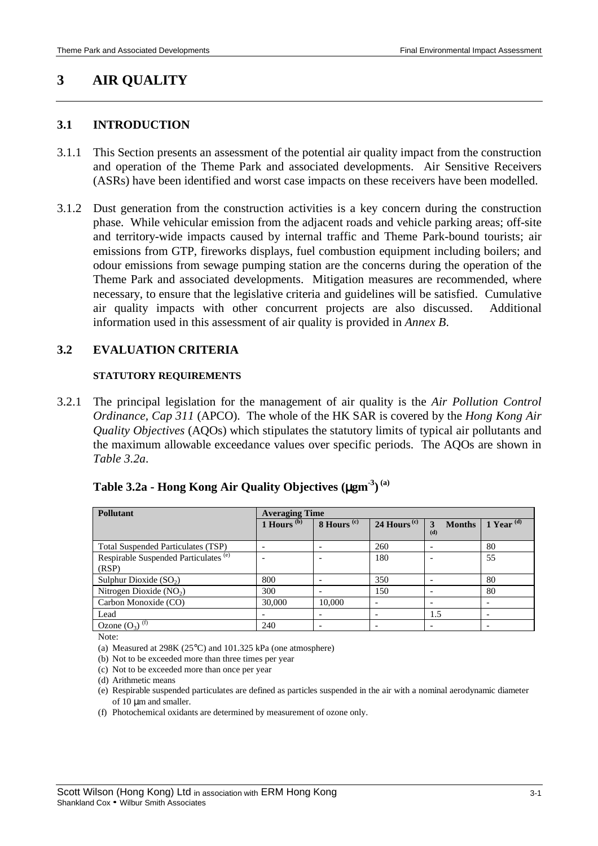# **3 AIR QUALITY**

## **3.1 INTRODUCTION**

- 3.1.1 This Section presents an assessment of the potential air quality impact from the construction and operation of the Theme Park and associated developments. Air Sensitive Receivers (ASRs) have been identified and worst case impacts on these receivers have been modelled.
- 3.1.2 Dust generation from the construction activities is a key concern during the construction phase. While vehicular emission from the adjacent roads and vehicle parking areas; off-site and territory-wide impacts caused by internal traffic and Theme Park-bound tourists; air emissions from GTP, fireworks displays, fuel combustion equipment including boilers; and odour emissions from sewage pumping station are the concerns during the operation of the Theme Park and associated developments. Mitigation measures are recommended, where necessary, to ensure that the legislative criteria and guidelines will be satisfied. Cumulative air quality impacts with other concurrent projects are also discussed. Additional information used in this assessment of air quality is provided in *Annex B*.

## **3.2 EVALUATION CRITERIA**

#### **STATUTORY REQUIREMENTS**

3.2.1 The principal legislation for the management of air quality is the *Air Pollution Control Ordinance, Cap 311* (APCO). The whole of the HK SAR is covered by the *Hong Kong Air Quality Objectives* (AQOs) which stipulates the statutory limits of typical air pollutants and the maximum allowable exceedance values over specific periods. The AQOs are shown in *Table 3.2a*.

| Pollutant                                                 | <b>Averaging Time</b> |                        |                          |                           |                       |
|-----------------------------------------------------------|-----------------------|------------------------|--------------------------|---------------------------|-----------------------|
|                                                           | 1 Hours $(b)$         | 8 Hours <sup>(c)</sup> | 24 Hours <sup>(c)</sup>  | <b>Months</b><br>3<br>(d) | 1 Year $\overline{d}$ |
| <b>Total Suspended Particulates (TSP)</b>                 |                       |                        | 260                      |                           | 80                    |
| Respirable Suspended Particulates <sup>(e)</sup><br>(RSP) |                       |                        | 180                      |                           | 55                    |
| Sulphur Dioxide $(SO2)$                                   | 800                   |                        | 350                      |                           | 80                    |
| Nitrogen Dioxide $(NO2)$                                  | 300                   |                        | 150                      |                           | 80                    |
| Carbon Monoxide (CO)                                      | 30,000                | 10,000                 | $\overline{\phantom{a}}$ |                           |                       |
| Lead                                                      |                       |                        |                          | 1.5                       |                       |
| Ozone $(O_3)$ <sup>(f)</sup>                              | 240                   |                        |                          |                           |                       |

# **Table 3.2a - Hong Kong Air Quality Objectives (**µ**gm-3) (a)**

Note:

(a) Measured at 298K (25°C) and 101.325 kPa (one atmosphere)

(b) Not to be exceeded more than three times per year

(c) Not to be exceeded more than once per year

(d) Arithmetic means

(e) Respirable suspended particulates are defined as particles suspended in the air with a nominal aerodynamic diameter of 10  $\mu$ m and smaller.

(f) Photochemical oxidants are determined by measurement of ozone only.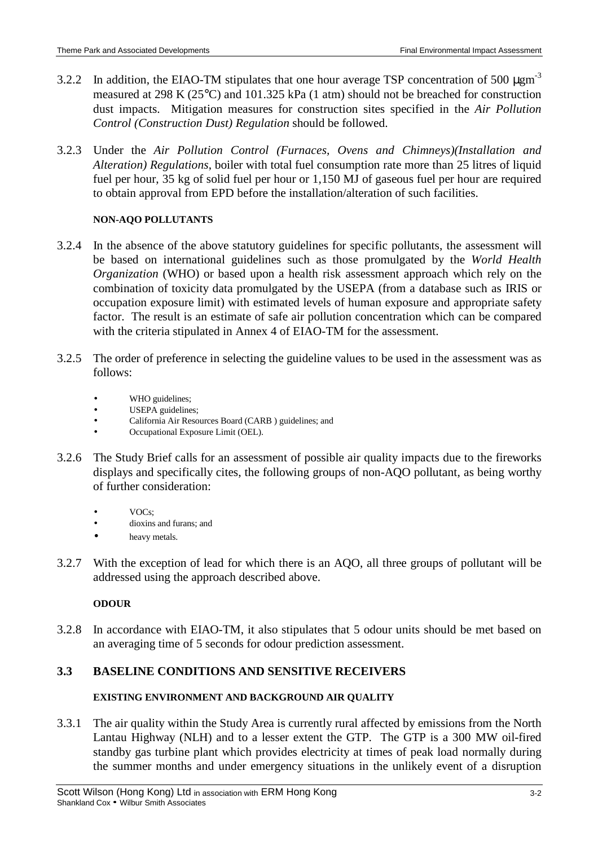- 3.2.2 In addition, the EIAO-TM stipulates that one hour average TSP concentration of 500  $\mu \text{gm}^{-3}$ measured at 298 K (25°C) and 101.325 kPa (1 atm) should not be breached for construction dust impacts. Mitigation measures for construction sites specified in the *Air Pollution Control (Construction Dust) Regulation* should be followed.
- 3.2.3 Under the *Air Pollution Control (Furnaces, Ovens and Chimneys)(Installation and Alteration) Regulations*, boiler with total fuel consumption rate more than 25 litres of liquid fuel per hour, 35 kg of solid fuel per hour or 1,150 MJ of gaseous fuel per hour are required to obtain approval from EPD before the installation/alteration of such facilities.

## **NON-AQO POLLUTANTS**

- 3.2.4 In the absence of the above statutory guidelines for specific pollutants, the assessment will be based on international guidelines such as those promulgated by the *World Health Organization* (WHO) or based upon a health risk assessment approach which rely on the combination of toxicity data promulgated by the USEPA (from a database such as IRIS or occupation exposure limit) with estimated levels of human exposure and appropriate safety factor. The result is an estimate of safe air pollution concentration which can be compared with the criteria stipulated in Annex 4 of EIAO-TM for the assessment.
- 3.2.5 The order of preference in selecting the guideline values to be used in the assessment was as follows:
	- WHO guidelines;
	- USEPA guidelines;
	- California Air Resources Board (CARB ) guidelines; and
	- Occupational Exposure Limit (OEL).
- 3.2.6 The Study Brief calls for an assessment of possible air quality impacts due to the fireworks displays and specifically cites, the following groups of non-AQO pollutant, as being worthy of further consideration:
	- $VOC<sub>s</sub>$
	- dioxins and furans; and
	- heavy metals.
- 3.2.7 With the exception of lead for which there is an AQO, all three groups of pollutant will be addressed using the approach described above.

# **ODOUR**

3.2.8 In accordance with EIAO-TM, it also stipulates that 5 odour units should be met based on an averaging time of 5 seconds for odour prediction assessment.

# **3.3 BASELINE CONDITIONS AND SENSITIVE RECEIVERS**

# **EXISTING ENVIRONMENT AND BACKGROUND AIR QUALITY**

3.3.1 The air quality within the Study Area is currently rural affected by emissions from the North Lantau Highway (NLH) and to a lesser extent the GTP. The GTP is a 300 MW oil-fired standby gas turbine plant which provides electricity at times of peak load normally during the summer months and under emergency situations in the unlikely event of a disruption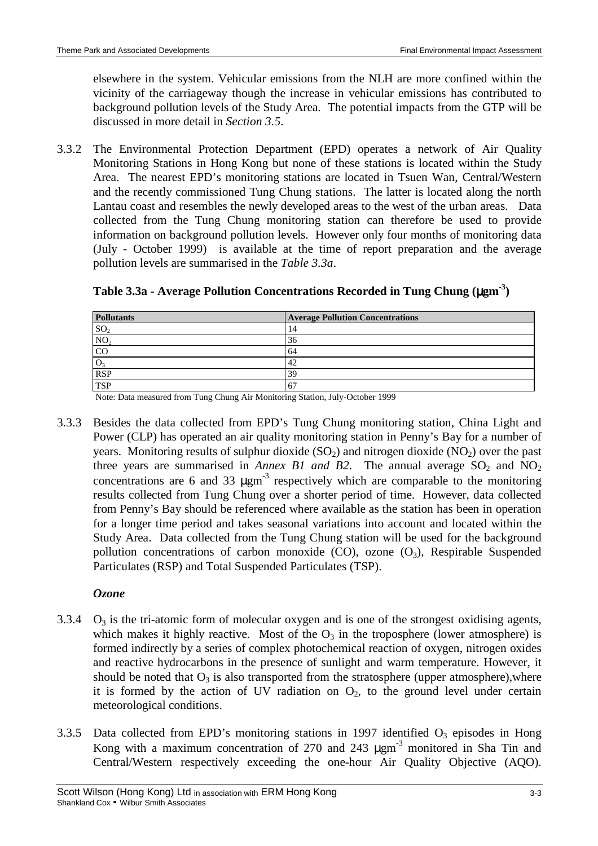elsewhere in the system. Vehicular emissions from the NLH are more confined within the vicinity of the carriageway though the increase in vehicular emissions has contributed to background pollution levels of the Study Area. The potential impacts from the GTP will be discussed in more detail in *Section 3.5*.

3.3.2 The Environmental Protection Department (EPD) operates a network of Air Quality Monitoring Stations in Hong Kong but none of these stations is located within the Study Area. The nearest EPD's monitoring stations are located in Tsuen Wan, Central/Western and the recently commissioned Tung Chung stations. The latter is located along the north Lantau coast and resembles the newly developed areas to the west of the urban areas. Data collected from the Tung Chung monitoring station can therefore be used to provide information on background pollution levels. However only four months of monitoring data (July - October 1999) is available at the time of report preparation and the average pollution levels are summarised in the *Table 3.3a*.

| <b>Pollutants</b> | <b>Average Pollution Concentrations</b> |
|-------------------|-----------------------------------------|
| SO <sub>2</sub>   | 14                                      |
| NO <sub>2</sub>   | 36                                      |
| CO                | 64                                      |
|                   | 42                                      |
| <b>RSP</b>        | 39                                      |
| <b>TSP</b>        | 67                                      |

| Table 3.3a - Average Pollution Concentrations Recorded in Tung Chung (µgm <sup>-3</sup> ) |  |  |  |
|-------------------------------------------------------------------------------------------|--|--|--|
|                                                                                           |  |  |  |
|                                                                                           |  |  |  |
|                                                                                           |  |  |  |

Note: Data measured from Tung Chung Air Monitoring Station, July-October 1999

3.3.3 Besides the data collected from EPD's Tung Chung monitoring station, China Light and Power (CLP) has operated an air quality monitoring station in Penny's Bay for a number of years. Monitoring results of sulphur dioxide  $(SO_2)$  and nitrogen dioxide  $(NO_2)$  over the past three years are summarised in *Annex B1 and B2*. The annual average  $SO_2$  and  $NO_2$ concentrations are 6 and 33  $\mu$ gm<sup>-3</sup> respectively which are comparable to the monitoring results collected from Tung Chung over a shorter period of time. However, data collected from Penny's Bay should be referenced where available as the station has been in operation for a longer time period and takes seasonal variations into account and located within the Study Area. Data collected from the Tung Chung station will be used for the background pollution concentrations of carbon monoxide  $(CO)$ , ozone  $(O_3)$ , Respirable Suspended Particulates (RSP) and Total Suspended Particulates (TSP).

# *Ozone*

- 3.3.4  $O_3$  is the tri-atomic form of molecular oxygen and is one of the strongest oxidising agents, which makes it highly reactive. Most of the  $O_3$  in the troposphere (lower atmosphere) is formed indirectly by a series of complex photochemical reaction of oxygen, nitrogen oxides and reactive hydrocarbons in the presence of sunlight and warm temperature. However, it should be noted that  $O_3$  is also transported from the stratosphere (upper atmosphere), where it is formed by the action of UV radiation on  $O<sub>2</sub>$ , to the ground level under certain meteorological conditions.
- 3.3.5 Data collected from EPD's monitoring stations in 1997 identified  $O_3$  episodes in Hong Kong with a maximum concentration of 270 and 243  $\mu$ gm<sup>-3</sup> monitored in Sha Tin and Central/Western respectively exceeding the one-hour Air Quality Objective (AQO).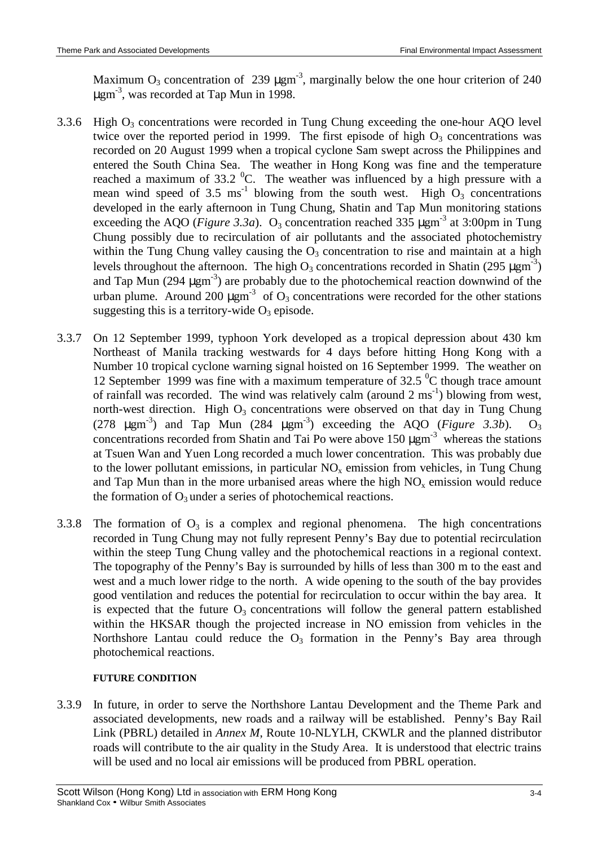Maximum  $O_3$  concentration of 239  $\mu$ gm<sup>-3</sup>, marginally below the one hour criterion of 240  $\mu$ gm<sup>-3</sup>, was recorded at Tap Mun in 1998.

- 3.3.6 High  $O_3$  concentrations were recorded in Tung Chung exceeding the one-hour AQO level twice over the reported period in 1999. The first episode of high  $O_3$  concentrations was recorded on 20 August 1999 when a tropical cyclone Sam swept across the Philippines and entered the South China Sea. The weather in Hong Kong was fine and the temperature reached a maximum of  $33.2 \text{ °C}$ . The weather was influenced by a high pressure with a mean wind speed of 3.5 ms<sup>-1</sup> blowing from the south west. High  $O_3$  concentrations developed in the early afternoon in Tung Chung, Shatin and Tap Mun monitoring stations exceeding the AQO (*Figure 3.3a*). O<sub>3</sub> concentration reached 335  $\mu$ gm<sup>-3</sup> at 3:00pm in Tung Chung possibly due to recirculation of air pollutants and the associated photochemistry within the Tung Chung valley causing the  $O_3$  concentration to rise and maintain at a high levels throughout the afternoon. The high  $O_3$  concentrations recorded in Shatin (295  $\mu$ gm<sup>-3</sup>) and Tap Mun  $(294 \mu \text{gm}^{-3})$  are probably due to the photochemical reaction downwind of the urban plume. Around 200  $\mu$ gm<sup>-3</sup> of O<sub>3</sub> concentrations were recorded for the other stations suggesting this is a territory-wide  $O_3$  episode.
- 3.3.7 On 12 September 1999, typhoon York developed as a tropical depression about 430 km Northeast of Manila tracking westwards for 4 days before hitting Hong Kong with a Number 10 tropical cyclone warning signal hoisted on 16 September 1999. The weather on 12 September 1999 was fine with a maximum temperature of  $32.5<sup>o</sup>C$  though trace amount of rainfall was recorded. The wind was relatively calm (around  $2 \text{ ms}^{-1}$ ) blowing from west, north-west direction. High  $O_3$  concentrations were observed on that day in Tung Chung (278  $\mu$ gm<sup>-3</sup>) and Tap Mun (284  $\mu$ gm<sup>-3</sup>) exceeding the AQO (*Figure 3.3b*). O<sub>3</sub> concentrations recorded from Shatin and Tai Po were above  $150 \mu \text{gm}^3$  whereas the stations at Tsuen Wan and Yuen Long recorded a much lower concentration. This was probably due to the lower pollutant emissions, in particular  $NO<sub>x</sub>$  emission from vehicles, in Tung Chung and Tap Mun than in the more urbanised areas where the high  $NO<sub>x</sub>$  emission would reduce the formation of  $O_3$  under a series of photochemical reactions.
- 3.3.8 The formation of  $O_3$  is a complex and regional phenomena. The high concentrations recorded in Tung Chung may not fully represent Penny's Bay due to potential recirculation within the steep Tung Chung valley and the photochemical reactions in a regional context. The topography of the Penny's Bay is surrounded by hills of less than 300 m to the east and west and a much lower ridge to the north. A wide opening to the south of the bay provides good ventilation and reduces the potential for recirculation to occur within the bay area. It is expected that the future  $O_3$  concentrations will follow the general pattern established within the HKSAR though the projected increase in NO emission from vehicles in the Northshore Lantau could reduce the  $O_3$  formation in the Penny's Bay area through photochemical reactions.

#### **FUTURE CONDITION**

3.3.9 In future, in order to serve the Northshore Lantau Development and the Theme Park and associated developments, new roads and a railway will be established. Penny's Bay Rail Link (PBRL) detailed in *Annex M*, Route 10-NLYLH, CKWLR and the planned distributor roads will contribute to the air quality in the Study Area. It is understood that electric trains will be used and no local air emissions will be produced from PBRL operation.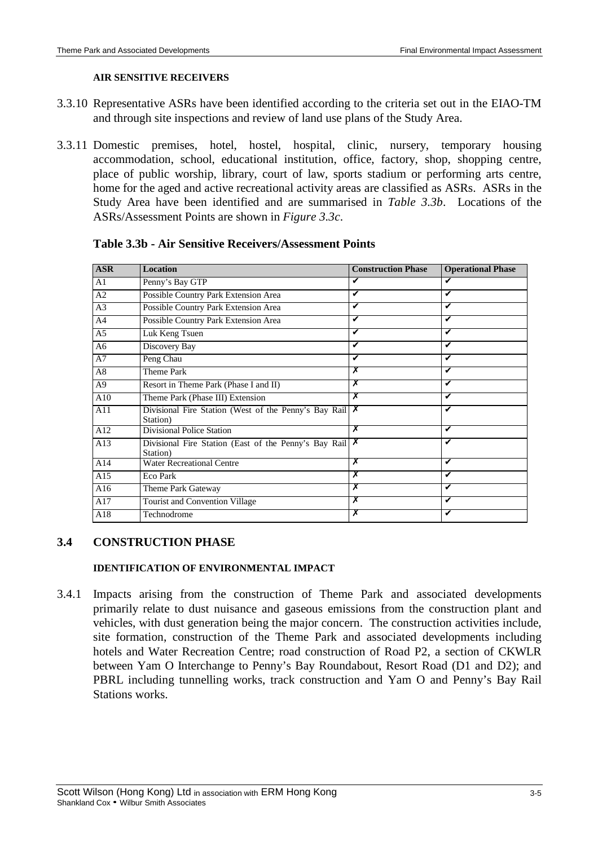## **AIR SENSITIVE RECEIVERS**

- 3.3.10 Representative ASRs have been identified according to the criteria set out in the EIAO-TM and through site inspections and review of land use plans of the Study Area.
- 3.3.11 Domestic premises, hotel, hostel, hospital, clinic, nursery, temporary housing accommodation, school, educational institution, office, factory, shop, shopping centre, place of public worship, library, court of law, sports stadium or performing arts centre, home for the aged and active recreational activity areas are classified as ASRs. ASRs in the Study Area have been identified and are summarised in *Table 3.3b*. Locations of the ASRs/Assessment Points are shown in *Figure 3.3c*.

| <b>ASR</b>     | <b>Location</b>                                                       | <b>Construction Phase</b> | <b>Operational Phase</b> |
|----------------|-----------------------------------------------------------------------|---------------------------|--------------------------|
| A <sub>1</sub> | Penny's Bay GTP                                                       | V                         |                          |
| A <sub>2</sub> | Possible Country Park Extension Area                                  | V                         | ✔                        |
| A <sub>3</sub> | Possible Country Park Extension Area                                  | V                         |                          |
| A <sub>4</sub> | Possible Country Park Extension Area                                  | V                         | v                        |
| A <sub>5</sub> | Luk Keng Tsuen                                                        | V                         | ✓                        |
| A <sub>6</sub> | Discovery Bay                                                         | V                         | V                        |
| A7             | Peng Chau                                                             | V                         |                          |
| A8             | Theme Park                                                            | х                         | ✔                        |
| A <sup>9</sup> | Resort in Theme Park (Phase I and II)                                 | x                         | V                        |
| A10            | Theme Park (Phase III) Extension                                      | x                         | ✔                        |
| A11            | Divisional Fire Station (West of the Penny's Bay Rail $X$<br>Station) |                           | ✔                        |
| A12            | Divisional Police Station                                             | X                         | V                        |
| A13            | Divisional Fire Station (East of the Penny's Bay Rail $X$<br>Station) |                           | ✓                        |
| A14            | <b>Water Recreational Centre</b>                                      | х                         | ✔                        |
| A15            | Eco Park                                                              | x                         | ✔                        |
| A16            | Theme Park Gateway                                                    | х                         | ✔                        |
| A17            | <b>Tourist and Convention Village</b>                                 | x                         | ✔                        |
| A18            | Technodrome                                                           |                           |                          |

### **Table 3.3b - Air Sensitive Receivers/Assessment Points**

# **3.4 CONSTRUCTION PHASE**

### **IDENTIFICATION OF ENVIRONMENTAL IMPACT**

3.4.1 Impacts arising from the construction of Theme Park and associated developments primarily relate to dust nuisance and gaseous emissions from the construction plant and vehicles, with dust generation being the major concern. The construction activities include, site formation, construction of the Theme Park and associated developments including hotels and Water Recreation Centre; road construction of Road P2, a section of CKWLR between Yam O Interchange to Penny's Bay Roundabout, Resort Road (D1 and D2); and PBRL including tunnelling works, track construction and Yam O and Penny's Bay Rail Stations works.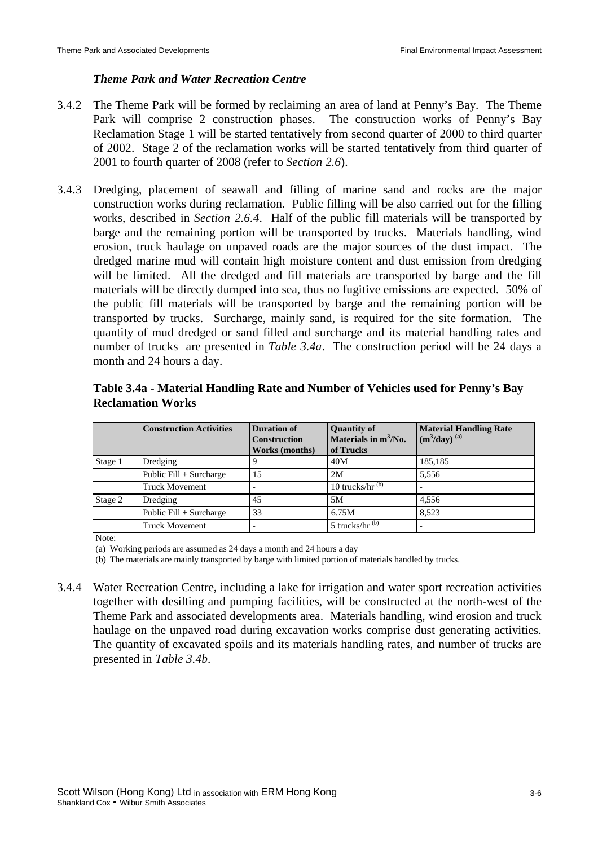## *Theme Park and Water Recreation Centre*

- 3.4.2 The Theme Park will be formed by reclaiming an area of land at Penny's Bay. The Theme Park will comprise 2 construction phases. The construction works of Penny's Bay Reclamation Stage 1 will be started tentatively from second quarter of 2000 to third quarter of 2002. Stage 2 of the reclamation works will be started tentatively from third quarter of 2001 to fourth quarter of 2008 (refer to *Section 2.6*).
- 3.4.3 Dredging, placement of seawall and filling of marine sand and rocks are the major construction works during reclamation. Public filling will be also carried out for the filling works, described in *Section 2.6.4*. Half of the public fill materials will be transported by barge and the remaining portion will be transported by trucks. Materials handling, wind erosion, truck haulage on unpaved roads are the major sources of the dust impact. The dredged marine mud will contain high moisture content and dust emission from dredging will be limited. All the dredged and fill materials are transported by barge and the fill materials will be directly dumped into sea, thus no fugitive emissions are expected. 50% of the public fill materials will be transported by barge and the remaining portion will be transported by trucks. Surcharge, mainly sand, is required for the site formation. The quantity of mud dredged or sand filled and surcharge and its material handling rates and number of trucks are presented in *Table 3.4a*. The construction period will be 24 days a month and 24 hours a day.

|         | <b>Construction Activities</b> | <b>Duration of</b><br><b>Construction</b><br>Works (months) | <b>Quantity of</b><br>Materials in $m^3/N_0$ .<br>of Trucks | <b>Material Handling Rate</b><br>$(m^3/day)$ <sup>(a)</sup> |
|---------|--------------------------------|-------------------------------------------------------------|-------------------------------------------------------------|-------------------------------------------------------------|
| Stage 1 | Dredging                       |                                                             | 40M                                                         | 185,185                                                     |
|         | Public $Fill + Surcharge$      | 15                                                          | 2M                                                          | 5,556                                                       |
|         | <b>Truck Movement</b>          |                                                             | 10 trucks/hr $^{(b)}$                                       |                                                             |
| Stage 2 | Dredging                       | 45                                                          | 5M                                                          | 4.556                                                       |
|         | Public $Fill + Surcharge$      | 33                                                          | 6.75M                                                       | 8.523                                                       |
|         | <b>Truck Movement</b>          |                                                             | $5$ trucks/hr <sup><math>(b)</math></sup>                   |                                                             |

## **Table 3.4a - Material Handling Rate and Number of Vehicles used for Penny's Bay Reclamation Works**

Note:

(a) Working periods are assumed as 24 days a month and 24 hours a day

(b) The materials are mainly transported by barge with limited portion of materials handled by trucks.

3.4.4 Water Recreation Centre, including a lake for irrigation and water sport recreation activities together with desilting and pumping facilities, will be constructed at the north-west of the Theme Park and associated developments area. Materials handling, wind erosion and truck haulage on the unpaved road during excavation works comprise dust generating activities. The quantity of excavated spoils and its materials handling rates, and number of trucks are presented in *Table 3.4b*.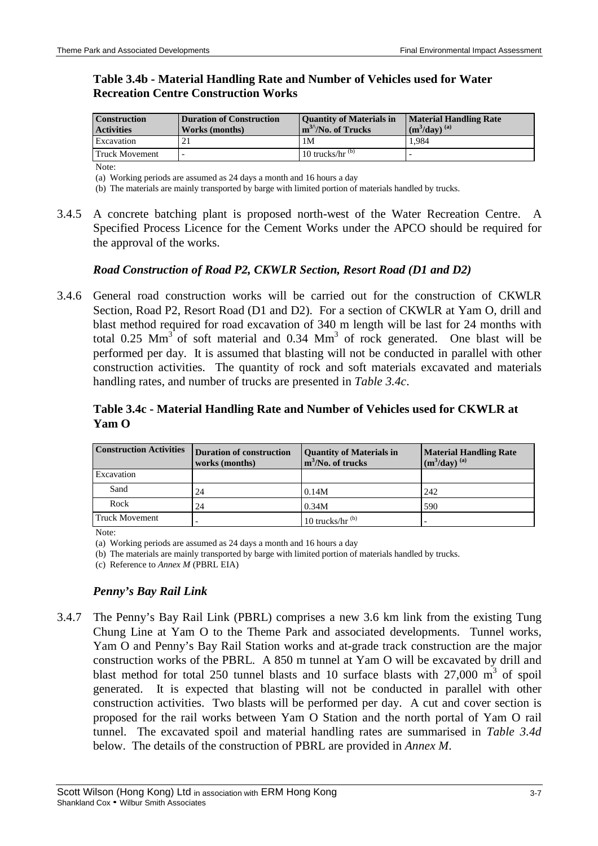## **Table 3.4b - Material Handling Rate and Number of Vehicles used for Water Recreation Centre Construction Works**

| <b>Construction</b><br><b>Activities</b> | Duration of Construction<br>Works (months) | <b>Ouantity of Materials in</b><br>$m^{3/2}$ No. of Trucks | <b>Material Handling Rate</b><br>$(m3/day)$ <sup>(a)</sup> |
|------------------------------------------|--------------------------------------------|------------------------------------------------------------|------------------------------------------------------------|
| Excavation                               |                                            | 1M                                                         | 1.984                                                      |
| <b>Truck Movement</b>                    |                                            | 10 trucks/hr $^{(b)}$                                      |                                                            |

Note:

(a) Working periods are assumed as 24 days a month and 16 hours a day

(b) The materials are mainly transported by barge with limited portion of materials handled by trucks.

3.4.5 A concrete batching plant is proposed north-west of the Water Recreation Centre. A Specified Process Licence for the Cement Works under the APCO should be required for the approval of the works.

### *Road Construction of Road P2, CKWLR Section, Resort Road (D1 and D2)*

3.4.6 General road construction works will be carried out for the construction of CKWLR Section, Road P2, Resort Road (D1 and D2). For a section of CKWLR at Yam O, drill and blast method required for road excavation of 340 m length will be last for 24 months with total 0.25  $\text{Mm}^3$  of soft material and 0.34  $\text{Mm}^3$  of rock generated. One blast will be performed per day. It is assumed that blasting will not be conducted in parallel with other construction activities. The quantity of rock and soft materials excavated and materials handling rates, and number of trucks are presented in *Table 3.4c*.

## **Table 3.4c - Material Handling Rate and Number of Vehicles used for CKWLR at Yam O**

| <b>Construction Activities</b> | <b>Duration of construction</b><br>works (months) | <b>Quantity of Materials in</b><br>$m^3/No$ . of trucks | <b>Material Handling Rate</b><br>$(m^3$ /day $)$ <sup>(a)</sup> |
|--------------------------------|---------------------------------------------------|---------------------------------------------------------|-----------------------------------------------------------------|
| Excavation                     |                                                   |                                                         |                                                                 |
| Sand                           | 24                                                | 0.14M                                                   | 242                                                             |
| Rock                           | 24                                                | 0.34M                                                   | 590                                                             |
| Truck Movement                 |                                                   | 10 trucks/hr $^{(b)}$                                   |                                                                 |

Note:

(a) Working periods are assumed as 24 days a month and 16 hours a day

(b) The materials are mainly transported by barge with limited portion of materials handled by trucks.

(c) Reference to *Annex M* (PBRL EIA)

#### *Penny's Bay Rail Link*

3.4.7 The Penny's Bay Rail Link (PBRL) comprises a new 3.6 km link from the existing Tung Chung Line at Yam O to the Theme Park and associated developments. Tunnel works, Yam O and Penny's Bay Rail Station works and at-grade track construction are the major construction works of the PBRL. A 850 m tunnel at Yam O will be excavated by drill and blast method for total 250 tunnel blasts and 10 surface blasts with 27,000  $\text{m}^3$  of spoil generated. It is expected that blasting will not be conducted in parallel with other construction activities. Two blasts will be performed per day. A cut and cover section is proposed for the rail works between Yam O Station and the north portal of Yam O rail tunnel. The excavated spoil and material handling rates are summarised in *Table 3.4d* below. The details of the construction of PBRL are provided in *Annex M*.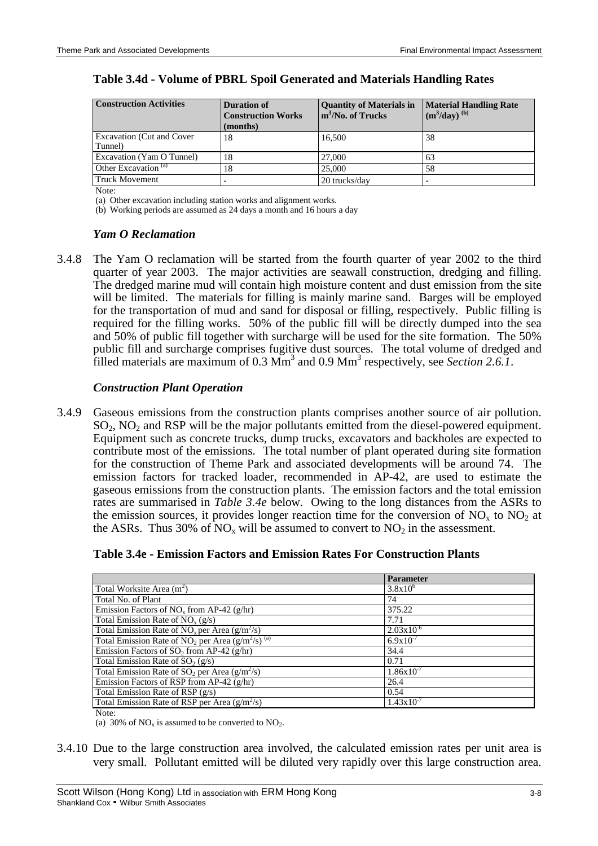| <b>Construction Activities</b>               | <b>Duration of</b><br><b>Construction Works</b><br>(months) | <b>Quantity of Materials in</b><br>$m^3$ /No. of Trucks | <b>Material Handling Rate</b><br>$(m^3/day)$ <sup>(b)</sup> |
|----------------------------------------------|-------------------------------------------------------------|---------------------------------------------------------|-------------------------------------------------------------|
| <b>Excavation (Cut and Cover)</b><br>Tunnel) | 18                                                          | 16.500                                                  | 38                                                          |
| Excavation (Yam O Tunnel)                    | 18                                                          | 27,000                                                  | 63                                                          |
| Other Excavation <sup>(a)</sup>              | 18                                                          | 25,000                                                  | 58                                                          |
| <b>Truck Movement</b>                        |                                                             | 20 trucks/day                                           |                                                             |

### **Table 3.4d - Volume of PBRL Spoil Generated and Materials Handling Rates**

Note<sup>.</sup>

(a) Other excavation including station works and alignment works.

(b) Working periods are assumed as 24 days a month and 16 hours a day

#### *Yam O Reclamation*

3.4.8 The Yam O reclamation will be started from the fourth quarter of year 2002 to the third quarter of year 2003. The major activities are seawall construction, dredging and filling. The dredged marine mud will contain high moisture content and dust emission from the site will be limited. The materials for filling is mainly marine sand. Barges will be employed for the transportation of mud and sand for disposal or filling, respectively. Public filling is required for the filling works. 50% of the public fill will be directly dumped into the sea and 50% of public fill together with surcharge will be used for the site formation. The 50% public fill and surcharge comprises fugitive dust sources. The total volume of dredged and filled materials are maximum of 0.3  $\text{Mm}^3$  and 0.9  $\text{Mm}^3$  respectively, see *Section 2.6.1*.

#### *Construction Plant Operation*

3.4.9 Gaseous emissions from the construction plants comprises another source of air pollution.  $SO<sub>2</sub>$ , NO<sub>2</sub> and RSP will be the major pollutants emitted from the diesel-powered equipment. Equipment such as concrete trucks, dump trucks, excavators and backholes are expected to contribute most of the emissions. The total number of plant operated during site formation for the construction of Theme Park and associated developments will be around 74. The emission factors for tracked loader, recommended in AP-42, are used to estimate the gaseous emissions from the construction plants. The emission factors and the total emission rates are summarised in *Table 3.4e* below. Owing to the long distances from the ASRs to the emission sources, it provides longer reaction time for the conversion of  $NO<sub>x</sub>$  to  $NO<sub>2</sub>$  at the ASRs. Thus 30% of  $NO<sub>x</sub>$  will be assumed to convert to  $NO<sub>2</sub>$  in the assessment.

| Table 3.4e - Emission Factors and Emission Rates For Construction Plants |  |  |
|--------------------------------------------------------------------------|--|--|
|--------------------------------------------------------------------------|--|--|

|                                                                     | <b>Parameter</b>      |
|---------------------------------------------------------------------|-----------------------|
| Total Worksite Area (m <sup>2</sup> )                               | $3.8x10^{6}$          |
| Total No. of Plant                                                  | 74                    |
| Emission Factors of $NO_x$ from AP-42 (g/hr)                        | 375.22                |
| Total Emission Rate of $NOx (g/s)$                                  | 7.71                  |
| Total Emission Rate of $NOx$ per Area (g/m <sup>2</sup> /s)         | $2.03x10^{-6}$        |
| Total Emission Rate of $\overline{NO_2}$ per Area $(g/m^2/s)^{(a)}$ | $6.9x10^{-7}$         |
| Emission Factors of SO <sub>2</sub> from AP-42 ( $g/hr$ )           | 34.4                  |
| Total Emission Rate of $SO_2(g/s)$                                  | 0.71                  |
| Total Emission Rate of $SO_2$ per Area ( $g/m^2/s$ )                | $1.86x10^{-7}$        |
| Emission Factors of RSP from AP-42 (g/hr)                           | 26.4                  |
| Total Emission Rate of RSP $(g/s)$                                  | 0.54                  |
| Total Emission Rate of RSP per Area $(g/m^2/s)$                     | $1.43 \times 10^{-7}$ |

Note:

(a) 30% of  $NO<sub>x</sub>$  is assumed to be converted to  $NO<sub>2</sub>$ .

3.4.10 Due to the large construction area involved, the calculated emission rates per unit area is very small. Pollutant emitted will be diluted very rapidly over this large construction area.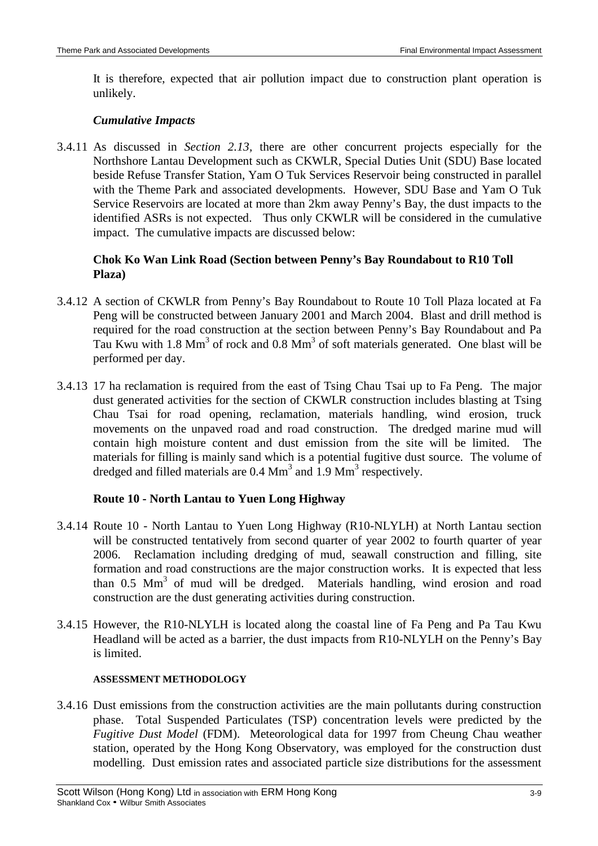It is therefore, expected that air pollution impact due to construction plant operation is unlikely.

## *Cumulative Impacts*

3.4.11 As discussed in *Section 2.13,* there are other concurrent projects especially for the Northshore Lantau Development such as CKWLR, Special Duties Unit (SDU) Base located beside Refuse Transfer Station, Yam O Tuk Services Reservoir being constructed in parallel with the Theme Park and associated developments. However, SDU Base and Yam O Tuk Service Reservoirs are located at more than 2km away Penny's Bay, the dust impacts to the identified ASRs is not expected. Thus only CKWLR will be considered in the cumulative impact. The cumulative impacts are discussed below:

## **Chok Ko Wan Link Road (Section between Penny's Bay Roundabout to R10 Toll Plaza)**

- 3.4.12 A section of CKWLR from Penny's Bay Roundabout to Route 10 Toll Plaza located at Fa Peng will be constructed between January 2001 and March 2004. Blast and drill method is required for the road construction at the section between Penny's Bay Roundabout and Pa Tau Kwu with 1.8  $\text{Mm}^3$  of rock and 0.8  $\text{Mm}^3$  of soft materials generated. One blast will be performed per day.
- 3.4.13 17 ha reclamation is required from the east of Tsing Chau Tsai up to Fa Peng. The major dust generated activities for the section of CKWLR construction includes blasting at Tsing Chau Tsai for road opening, reclamation, materials handling, wind erosion, truck movements on the unpaved road and road construction. The dredged marine mud will contain high moisture content and dust emission from the site will be limited. The materials for filling is mainly sand which is a potential fugitive dust source. The volume of dredged and filled materials are  $0.4 \text{ Mm}^3$  and  $1.9 \text{ Mm}^3$  respectively.

# **Route 10 - North Lantau to Yuen Long Highway**

- 3.4.14 Route 10 North Lantau to Yuen Long Highway (R10-NLYLH) at North Lantau section will be constructed tentatively from second quarter of year 2002 to fourth quarter of year 2006. Reclamation including dredging of mud, seawall construction and filling, site formation and road constructions are the major construction works. It is expected that less than 0.5 Mm<sup>3</sup> of mud will be dredged. Materials handling, wind erosion and road construction are the dust generating activities during construction.
- 3.4.15 However, the R10-NLYLH is located along the coastal line of Fa Peng and Pa Tau Kwu Headland will be acted as a barrier, the dust impacts from R10-NLYLH on the Penny's Bay is limited.

### **ASSESSMENT METHODOLOGY**

3.4.16 Dust emissions from the construction activities are the main pollutants during construction phase. Total Suspended Particulates (TSP) concentration levels were predicted by the *Fugitive Dust Model* (FDM). Meteorological data for 1997 from Cheung Chau weather station, operated by the Hong Kong Observatory, was employed for the construction dust modelling. Dust emission rates and associated particle size distributions for the assessment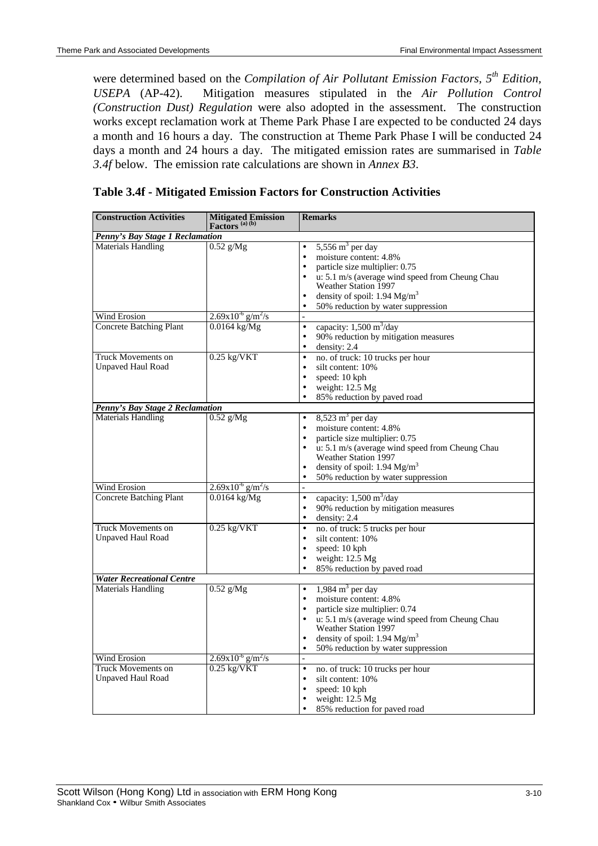were determined based on the *Compilation of Air Pollutant Emission Factors, 5th Edition, USEPA* (AP-42). Mitigation measures stipulated in the *Air Pollution Control (Construction Dust) Regulation* were also adopted in the assessment. The construction works except reclamation work at Theme Park Phase I are expected to be conducted 24 days a month and 16 hours a day. The construction at Theme Park Phase I will be conducted 24 days a month and 24 hours a day. The mitigated emission rates are summarised in *Table 3.4f* below. The emission rate calculations are shown in *Annex B3*.

| <b>Construction Activities</b>                        | <b>Mitigated Emission</b><br>Factors $(a)$ (b) | <b>Remarks</b>                                                                                                                                                                                                                                                                                                                           |
|-------------------------------------------------------|------------------------------------------------|------------------------------------------------------------------------------------------------------------------------------------------------------------------------------------------------------------------------------------------------------------------------------------------------------------------------------------------|
| Penny's Bay Stage 1 Reclamation                       |                                                |                                                                                                                                                                                                                                                                                                                                          |
| Materials Handling                                    | $0.52$ g/Mg                                    | 5,556 $m3$ per day<br>$\bullet$<br>moisture content: 4.8%<br>$\bullet$<br>particle size multiplier: 0.75<br>$\bullet$<br>u: 5.1 m/s (average wind speed from Cheung Chau<br>$\bullet$<br>Weather Station 1997<br>density of spoil: 1.94 Mg/m <sup>3</sup><br>$\bullet$<br>50% reduction by water suppression<br>$\bullet$                |
| Wind Erosion                                          | $2.69x10^{-6}$ g/m <sup>2</sup> /s             |                                                                                                                                                                                                                                                                                                                                          |
| <b>Concrete Batching Plant</b>                        | $0.0164$ kg/Mg                                 | $\bullet$<br>capacity: $1,500 \text{ m}^3/\text{day}$<br>90% reduction by mitigation measures<br>$\bullet$<br>density: $2.4$<br>$\bullet$                                                                                                                                                                                                |
| Truck Movements on<br><b>Unpaved Haul Road</b>        | $0.25$ kg/VKT                                  | no. of truck: 10 trucks per hour<br>$\bullet$<br>silt content: 10%<br>$\bullet$<br>$\bullet$<br>speed: 10 kph<br>weight: 12.5 Mg<br>$\bullet$<br>85% reduction by paved road<br>$\bullet$                                                                                                                                                |
| Penny's Bay Stage 2 Reclamation                       |                                                |                                                                                                                                                                                                                                                                                                                                          |
| <b>Materials Handling</b>                             | $0.52$ g/Mg                                    | $8,523 \text{ m}^3$ per day<br>$\bullet$<br>moisture content: 4.8%<br>$\bullet$<br>particle size multiplier: 0.75<br>$\bullet$<br>u: 5.1 m/s (average wind speed from Cheung Chau<br>$\bullet$<br>Weather Station 1997<br>density of spoil: $1.94 \text{ Mg/m}^3$<br>$\bullet$<br>50% reduction by water suppression<br>$\bullet$        |
| <b>Wind Erosion</b>                                   | $2.69x10^{-6}$ g/m <sup>2</sup> /s             |                                                                                                                                                                                                                                                                                                                                          |
| <b>Concrete Batching Plant</b>                        | $0.0164$ kg/Mg                                 | capacity: $1,500 \text{ m}^3/\text{day}$<br>$\bullet$<br>90% reduction by mitigation measures<br>$\bullet$<br>density: 2.4<br>$\bullet$                                                                                                                                                                                                  |
| <b>Truck Movements on</b><br><b>Unpaved Haul Road</b> | $0.25$ kg/VKT                                  | no. of truck: 5 trucks per hour<br>$\bullet$<br>silt content: 10%<br>$\bullet$<br>speed: 10 kph<br>$\bullet$<br>weight: 12.5 Mg<br>$\bullet$<br>85% reduction by paved road<br>$\bullet$                                                                                                                                                 |
| <b>Water Recreational Centre</b>                      |                                                |                                                                                                                                                                                                                                                                                                                                          |
| <b>Materials Handling</b>                             | $0.52$ g/Mg                                    | $1,984 \text{ m}^3$ per day<br>$\bullet$<br>moisture content: 4.8%<br>$\bullet$<br>particle size multiplier: 0.74<br>$\bullet$<br>u: 5.1 m/s (average wind speed from Cheung Chau<br>$\bullet$<br><b>Weather Station 1997</b><br>density of spoil: $1.94 \text{ Mg/m}^3$<br>$\bullet$<br>50% reduction by water suppression<br>$\bullet$ |
| Wind Erosion                                          | $2.69x10^{6}$ g/m <sup>2</sup> /s              | $\bar{\phantom{a}}$                                                                                                                                                                                                                                                                                                                      |
| <b>Truck Movements on</b><br><b>Unpaved Haul Road</b> | $0.25$ kg/VKT                                  | no. of truck: 10 trucks per hour<br>$\bullet$<br>$\bullet$<br>silt content: 10%<br>speed: 10 kph<br>$\bullet$<br>weight: 12.5 Mg<br>$\bullet$<br>85% reduction for paved road<br>$\bullet$                                                                                                                                               |

# **Table 3.4f - Mitigated Emission Factors for Construction Activities**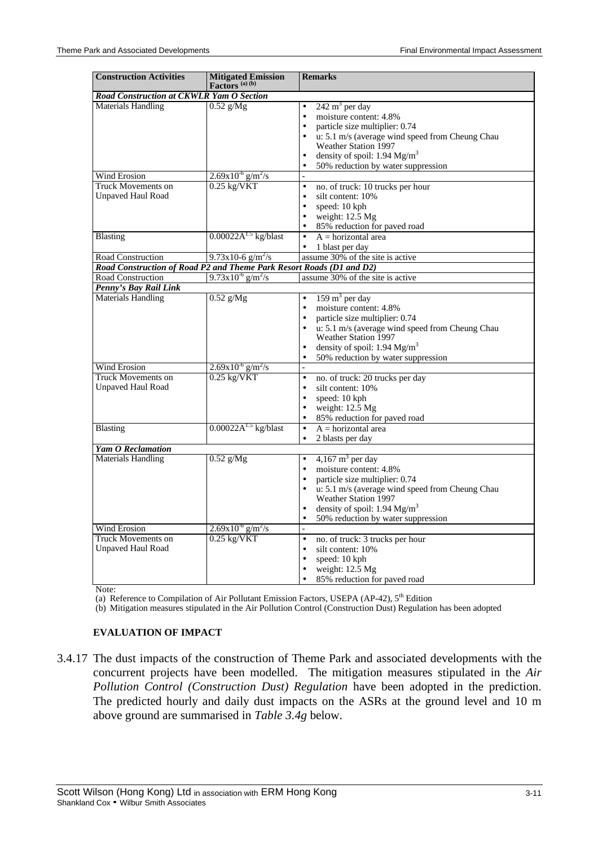| <b>Construction Activities</b>                                                            | Mitigated Emission<br>Factors <sup>(a)(b)</sup> | <b>Remarks</b>                                                                       |
|-------------------------------------------------------------------------------------------|-------------------------------------------------|--------------------------------------------------------------------------------------|
| Road Construction at CKWLR Yam O Section                                                  |                                                 |                                                                                      |
| <b>Materials Handling</b>                                                                 | $0.52$ g/Mg                                     | $242 \text{ m}^3$ per day<br>$\bullet$                                               |
|                                                                                           |                                                 | moisture content: 4.8%<br>$\bullet$                                                  |
|                                                                                           |                                                 | particle size multiplier: 0.74<br>$\bullet$                                          |
|                                                                                           |                                                 | $\bullet$<br>u: 5.1 m/s (average wind speed from Cheung Chau<br>Weather Station 1997 |
|                                                                                           |                                                 | density of spoil: $1.94 \text{ Mg/m}^3$<br>$\bullet$                                 |
|                                                                                           |                                                 | 50% reduction by water suppression                                                   |
| Wind Erosion                                                                              | $2.69x10^{-6}$ g/m <sup>2</sup> /s              | $\overline{a}$                                                                       |
| <b>Truck Movements on</b>                                                                 | $0.25$ kg/VKT                                   | no. of truck: 10 trucks per hour<br>$\bullet$                                        |
| <b>Unpaved Haul Road</b>                                                                  |                                                 | $\bullet$<br>silt content: 10%                                                       |
|                                                                                           |                                                 | speed: 10 kph<br>$\bullet$                                                           |
|                                                                                           |                                                 | weight: 12.5 Mg<br>$\bullet$                                                         |
|                                                                                           |                                                 | 85% reduction for paved road<br>$\bullet$                                            |
| <b>Blasting</b>                                                                           | $0.00022A^{1.5}$ kg/blast                       | $A = horizontal area$<br>$\bullet$                                                   |
|                                                                                           |                                                 |                                                                                      |
|                                                                                           | $9.73x10-6$ g/m <sup>2</sup> /s                 | 1 blast per day<br>assume 30% of the site is active                                  |
| Road Construction<br>Road Construction of Road P2 and Theme Park Resort Roads (D1 and D2) |                                                 |                                                                                      |
| <b>Road Construction</b>                                                                  | $9.73 \times 10^{-6}$ g/m <sup>2</sup> /s       | assume 30% of the site is active                                                     |
|                                                                                           |                                                 |                                                                                      |
| Penny's Bay Rail Link                                                                     |                                                 |                                                                                      |
| <b>Materials Handling</b>                                                                 | $0.52$ g/Mg                                     | $159 \text{ m}^3$ per day<br>$\bullet$                                               |
|                                                                                           |                                                 | moisture content: 4.8%<br>$\bullet$                                                  |
|                                                                                           |                                                 | particle size multiplier: 0.74<br>$\bullet$                                          |
|                                                                                           |                                                 | u: 5.1 m/s (average wind speed from Cheung Chau<br>$\bullet$<br>Weather Station 1997 |
|                                                                                           |                                                 | density of spoil: $1.94 \text{ Mg/m}^3$<br>$\bullet$                                 |
|                                                                                           |                                                 | 50% reduction by water suppression<br>$\bullet$                                      |
| <b>Wind Erosion</b>                                                                       | $2.69x10^{-6}$ g/m <sup>2</sup> /s              | $\overline{a}$                                                                       |
| Truck Movements on                                                                        | $0.25$ kg/VKT                                   | no. of truck: 20 trucks per day<br>$\bullet$                                         |
| <b>Unpaved Haul Road</b>                                                                  |                                                 | silt content: 10%<br>$\bullet$                                                       |
|                                                                                           |                                                 | $\bullet$<br>speed: 10 kph                                                           |
|                                                                                           |                                                 | weight: 12.5 Mg<br>$\bullet$                                                         |
|                                                                                           |                                                 | 85% reduction for paved road<br>$\bullet$                                            |
| <b>Blasting</b>                                                                           | $0.00022A^{1.5}$ kg/blast                       | $A = horizontal area$<br>$\bullet$                                                   |
|                                                                                           |                                                 | 2 blasts per day<br>$\bullet$                                                        |
| <b>Yam O Reclamation</b>                                                                  |                                                 |                                                                                      |
| <b>Materials Handling</b>                                                                 | $0.52$ g/Mg                                     | $4,167 \text{ m}^3$ per day<br>$\bullet$                                             |
|                                                                                           |                                                 | moisture content: 4.8%<br>$\bullet$                                                  |
|                                                                                           |                                                 | particle size multiplier: 0.74<br>$\bullet$                                          |
|                                                                                           |                                                 | u: 5.1 m/s (average wind speed from Cheung Chau<br>$\bullet$                         |
|                                                                                           |                                                 | Weather Station 1997                                                                 |
|                                                                                           |                                                 | density of spoil: 1.94 Mg/m <sup>3</sup><br>$\bullet$                                |
|                                                                                           |                                                 | 50% reduction by water suppression<br>$\bullet$                                      |
| Wind Erosion                                                                              | $2.69x10^{6}$ g/m <sup>2</sup> /s               |                                                                                      |
| <b>Truck Movements on</b>                                                                 | $0.25 \text{ kg/VKT}$                           | no. of truck: 3 trucks per hour<br>$\bullet$                                         |
| <b>Unpaved Haul Road</b>                                                                  |                                                 | silt content: 10%<br>$\bullet$                                                       |
|                                                                                           |                                                 | speed: 10 kph<br>$\bullet$                                                           |
|                                                                                           |                                                 | weight: 12.5 Mg                                                                      |
|                                                                                           |                                                 | 85% reduction for paved road<br>$\bullet$                                            |

Note:

(a) Reference to Compilation of Air Pollutant Emission Factors, USEPA (AP-42), 5<sup>th</sup> Edition

(b) Mitigation measures stipulated in the Air Pollution Control (Construction Dust) Regulation has been adopted

#### **EVALUATION OF IMPACT**

3.4.17 The dust impacts of the construction of Theme Park and associated developments with the concurrent projects have been modelled. The mitigation measures stipulated in the *Air Pollution Control (Construction Dust) Regulation* have been adopted in the prediction. The predicted hourly and daily dust impacts on the ASRs at the ground level and 10 m above ground are summarised in *Table 3.4g* below.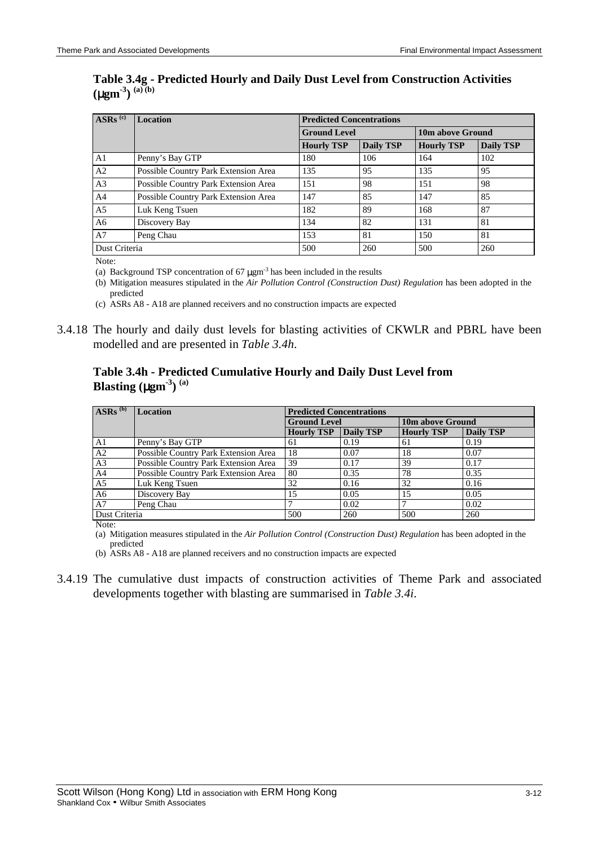#### **Table 3.4g - Predicted Hourly and Daily Dust Level from Construction Activities**  $(\mu$ gm<sup>-3</sup> $)$ <sup>(a)(b)</sup>

| $\overline{\text{ASRs}}$ <sup>(c)</sup> | <b>Location</b>                      | <b>Predicted Concentrations</b> |                     |     |                  |  |  |
|-----------------------------------------|--------------------------------------|---------------------------------|---------------------|-----|------------------|--|--|
|                                         |                                      |                                 | <b>Ground Level</b> |     | 10m above Ground |  |  |
|                                         |                                      | <b>Hourly TSP</b>               | <b>Daily TSP</b>    |     | <b>Daily TSP</b> |  |  |
| A1                                      | Penny's Bay GTP                      | 180                             | 106                 | 164 | 102              |  |  |
| A <sub>2</sub>                          | Possible Country Park Extension Area | 135                             | 95                  | 135 | 95               |  |  |
| A <sub>3</sub>                          | Possible Country Park Extension Area | 151                             | 98                  | 151 | 98               |  |  |
| A <sub>4</sub>                          | Possible Country Park Extension Area | 147                             | 85                  | 147 | 85               |  |  |
| A <sub>5</sub>                          | Luk Keng Tsuen                       | 182                             | 89                  | 168 | 87               |  |  |
| A6                                      | Discovery Bay                        | 134                             | 82                  | 131 | 81               |  |  |
| A7                                      | Peng Chau                            | 153                             | 81                  | 150 | 81               |  |  |
| Dust Criteria                           |                                      | 500                             | 260                 | 500 | 260              |  |  |

Note:

(a) Background TSP concentration of  $67 \mu \text{gm}^3$  has been included in the results

(b) Mitigation measures stipulated in the *Air Pollution Control (Construction Dust) Regulation* has been adopted in the predicted

(c) ASRs A8 - A18 are planned receivers and no construction impacts are expected

3.4.18 The hourly and daily dust levels for blasting activities of CKWLR and PBRL have been modelled and are presented in *Table 3.4h*.

## **Table 3.4h - Predicted Cumulative Hourly and Daily Dust Level from Blasting (**µ**gm-3) (a)**

| $\overline{\text{ASRs}}^{(b)}$ | <b>Location</b>                      |                   | <b>Predicted Concentrations</b> |     |                  |  |  |  |
|--------------------------------|--------------------------------------|-------------------|---------------------------------|-----|------------------|--|--|--|
|                                |                                      |                   | <b>Ground Level</b>             |     | 10m above Ground |  |  |  |
|                                |                                      | <b>Hourly TSP</b> | Daily TSP                       |     | Daily TSP        |  |  |  |
| A1                             | Penny's Bay GTP                      | 61                | 0.19                            | 61  | 0.19             |  |  |  |
| A2                             | Possible Country Park Extension Area | 18                | 0.07                            | 18  | 0.07             |  |  |  |
| A <sub>3</sub>                 | Possible Country Park Extension Area | 39                | 0.17                            | 39  | 0.17             |  |  |  |
| A <sup>4</sup>                 | Possible Country Park Extension Area | 80                | 0.35                            | 78  | 0.35             |  |  |  |
| A <sub>5</sub>                 | Luk Keng Tsuen                       | 32                | 0.16                            | 32  | 0.16             |  |  |  |
| A <sub>6</sub>                 | Discovery Bay                        | 15                | 0.05                            | 15  | 0.05             |  |  |  |
| A7                             | Peng Chau                            |                   | 0.02                            |     | 0.02             |  |  |  |
| Dust Criteria                  |                                      | 500               | 260                             | 500 | 260              |  |  |  |

Note:

(a) Mitigation measures stipulated in the *Air Pollution Control (Construction Dust) Regulation* has been adopted in the predicted

(b) ASRs A8 - A18 are planned receivers and no construction impacts are expected

3.4.19 The cumulative dust impacts of construction activities of Theme Park and associated developments together with blasting are summarised in *Table 3.4i*.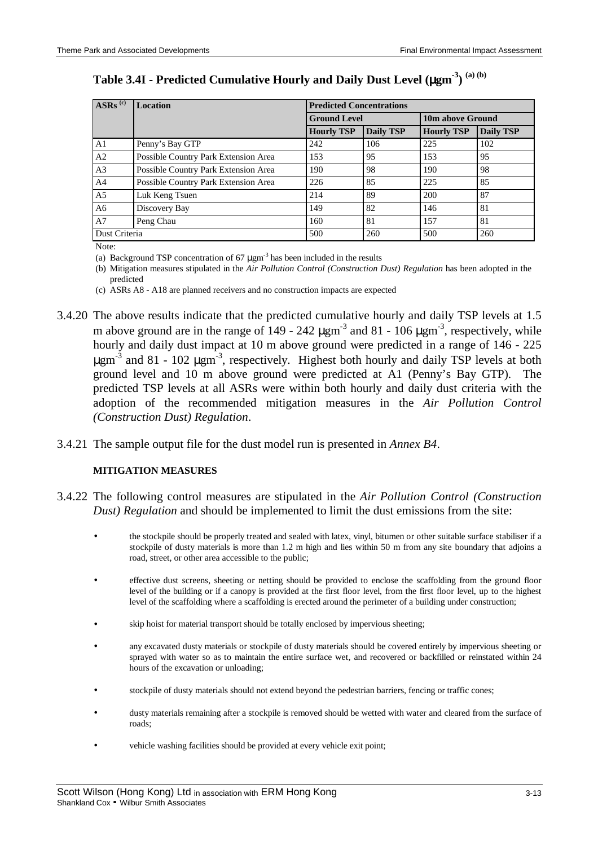| $\overline{\text{ASRs}}$ <sup>(c)</sup> | <b>Location</b>                      | <b>Predicted Concentrations</b>       |     |                   |                  |  |  |
|-----------------------------------------|--------------------------------------|---------------------------------------|-----|-------------------|------------------|--|--|
|                                         |                                      | <b>Ground Level</b>                   |     | 10m above Ground  |                  |  |  |
|                                         |                                      | <b>Daily TSP</b><br><b>Hourly TSP</b> |     | <b>Hourly TSP</b> | <b>Daily TSP</b> |  |  |
| A <sub>1</sub>                          | Penny's Bay GTP                      | 242                                   | 106 | 225               | 102              |  |  |
| A2                                      | Possible Country Park Extension Area | 153                                   | 95  | 153               | 95               |  |  |
| A <sub>3</sub>                          | Possible Country Park Extension Area | 190                                   | 98  | 190               | 98               |  |  |
| A <sup>4</sup>                          | Possible Country Park Extension Area | 226                                   | 85  | 225               | 85               |  |  |
| A <sub>5</sub>                          | Luk Keng Tsuen                       | 214                                   | 89  | 200               | 87               |  |  |
| A6                                      | Discovery Bay                        | 149                                   | 82  | 146               | 81               |  |  |
| A7                                      | Peng Chau                            | 160                                   | 81  | 157               | 81               |  |  |
| Dust Criteria                           |                                      | 500                                   | 260 | 500               | 260              |  |  |

**Table 3.4I - Predicted Cumulative Hourly and Daily Dust Level (**µ**gm-3) (a) (b)**

Note:

(a) Background TSP concentration of  $67 \mu \text{gm}^{-3}$  has been included in the results

(b) Mitigation measures stipulated in the *Air Pollution Control (Construction Dust) Regulation* has been adopted in the predicted

(c) ASRs A8 - A18 are planned receivers and no construction impacts are expected

- 3.4.20 The above results indicate that the predicted cumulative hourly and daily TSP levels at 1.5 m above ground are in the range of 149 - 242  $\mu$ gm<sup>-3</sup> and 81 - 106  $\mu$ gm<sup>-3</sup>, respectively, while hourly and daily dust impact at 10 m above ground were predicted in a range of 146 - 225  $\mu$ gm<sup>-3</sup> and 81 - 102  $\mu$ gm<sup>-3</sup>, respectively. Highest both hourly and daily TSP levels at both ground level and 10 m above ground were predicted at A1 (Penny's Bay GTP). The predicted TSP levels at all ASRs were within both hourly and daily dust criteria with the adoption of the recommended mitigation measures in the *Air Pollution Control (Construction Dust) Regulation*.
- 3.4.21 The sample output file for the dust model run is presented in *Annex B4*.

#### **MITIGATION MEASURES**

- 3.4.22 The following control measures are stipulated in the *Air Pollution Control (Construction Dust) Regulation* and should be implemented to limit the dust emissions from the site:
	- the stockpile should be properly treated and sealed with latex, vinyl, bitumen or other suitable surface stabiliser if a stockpile of dusty materials is more than 1.2 m high and lies within 50 m from any site boundary that adjoins a road, street, or other area accessible to the public;
	- effective dust screens, sheeting or netting should be provided to enclose the scaffolding from the ground floor level of the building or if a canopy is provided at the first floor level, from the first floor level, up to the highest level of the scaffolding where a scaffolding is erected around the perimeter of a building under construction;
	- skip hoist for material transport should be totally enclosed by impervious sheeting;
	- any excavated dusty materials or stockpile of dusty materials should be covered entirely by impervious sheeting or sprayed with water so as to maintain the entire surface wet, and recovered or backfilled or reinstated within 24 hours of the excavation or unloading;
	- stockpile of dusty materials should not extend beyond the pedestrian barriers, fencing or traffic cones;
	- dusty materials remaining after a stockpile is removed should be wetted with water and cleared from the surface of roads;
	- vehicle washing facilities should be provided at every vehicle exit point;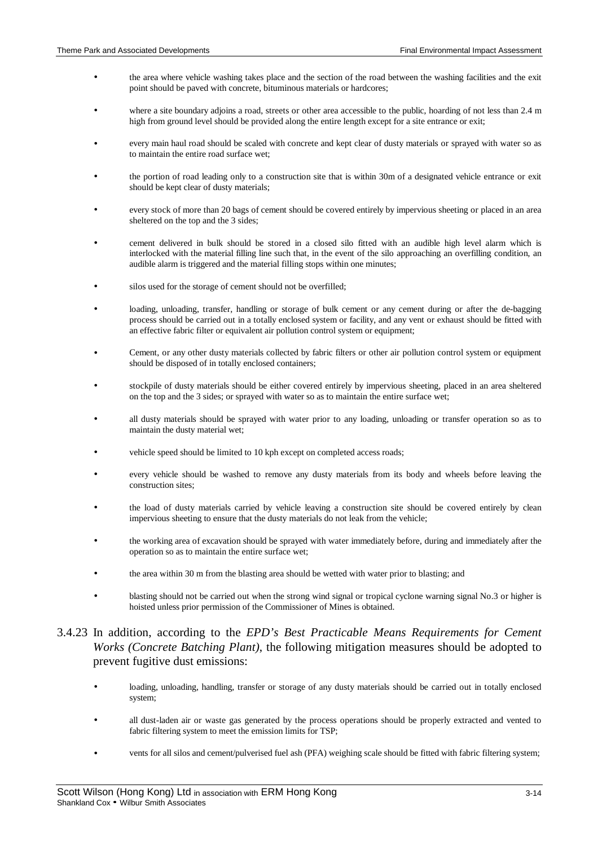- the area where vehicle washing takes place and the section of the road between the washing facilities and the exit point should be paved with concrete, bituminous materials or hardcores;
- where a site boundary adjoins a road, streets or other area accessible to the public, hoarding of not less than 2.4 m high from ground level should be provided along the entire length except for a site entrance or exit;
- every main haul road should be scaled with concrete and kept clear of dusty materials or sprayed with water so as to maintain the entire road surface wet;
- the portion of road leading only to a construction site that is within 30m of a designated vehicle entrance or exit should be kept clear of dusty materials;
- every stock of more than 20 bags of cement should be covered entirely by impervious sheeting or placed in an area sheltered on the top and the 3 sides;
- cement delivered in bulk should be stored in a closed silo fitted with an audible high level alarm which is interlocked with the material filling line such that, in the event of the silo approaching an overfilling condition, an audible alarm is triggered and the material filling stops within one minutes;
- silos used for the storage of cement should not be overfilled;
- loading, unloading, transfer, handling or storage of bulk cement or any cement during or after the de-bagging process should be carried out in a totally enclosed system or facility, and any vent or exhaust should be fitted with an effective fabric filter or equivalent air pollution control system or equipment;
- Cement, or any other dusty materials collected by fabric filters or other air pollution control system or equipment should be disposed of in totally enclosed containers;
- stockpile of dusty materials should be either covered entirely by impervious sheeting, placed in an area sheltered on the top and the 3 sides; or sprayed with water so as to maintain the entire surface wet;
- all dusty materials should be sprayed with water prior to any loading, unloading or transfer operation so as to maintain the dusty material wet;
- vehicle speed should be limited to 10 kph except on completed access roads;
- every vehicle should be washed to remove any dusty materials from its body and wheels before leaving the construction sites;
- the load of dusty materials carried by vehicle leaving a construction site should be covered entirely by clean impervious sheeting to ensure that the dusty materials do not leak from the vehicle;
- the working area of excavation should be sprayed with water immediately before, during and immediately after the operation so as to maintain the entire surface wet;
- the area within 30 m from the blasting area should be wetted with water prior to blasting; and
- blasting should not be carried out when the strong wind signal or tropical cyclone warning signal No.3 or higher is hoisted unless prior permission of the Commissioner of Mines is obtained.

## 3.4.23 In addition, according to the *EPD's Best Practicable Means Requirements for Cement Works (Concrete Batching Plant)*, the following mitigation measures should be adopted to prevent fugitive dust emissions:

- loading, unloading, handling, transfer or storage of any dusty materials should be carried out in totally enclosed system;
- all dust-laden air or waste gas generated by the process operations should be properly extracted and vented to fabric filtering system to meet the emission limits for TSP;
- vents for all silos and cement/pulverised fuel ash (PFA) weighing scale should be fitted with fabric filtering system;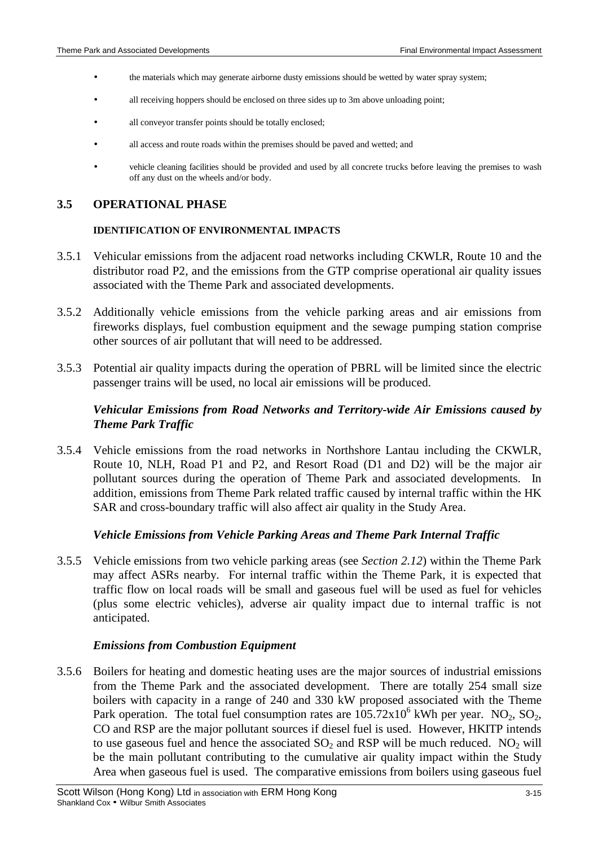- the materials which may generate airborne dusty emissions should be wetted by water spray system;
- all receiving hoppers should be enclosed on three sides up to 3m above unloading point;
- all conveyor transfer points should be totally enclosed;
- all access and route roads within the premises should be paved and wetted; and
- vehicle cleaning facilities should be provided and used by all concrete trucks before leaving the premises to wash off any dust on the wheels and/or body.

#### **3.5 OPERATIONAL PHASE**

#### **IDENTIFICATION OF ENVIRONMENTAL IMPACTS**

- 3.5.1 Vehicular emissions from the adjacent road networks including CKWLR, Route 10 and the distributor road P2, and the emissions from the GTP comprise operational air quality issues associated with the Theme Park and associated developments.
- 3.5.2 Additionally vehicle emissions from the vehicle parking areas and air emissions from fireworks displays, fuel combustion equipment and the sewage pumping station comprise other sources of air pollutant that will need to be addressed.
- 3.5.3 Potential air quality impacts during the operation of PBRL will be limited since the electric passenger trains will be used, no local air emissions will be produced.

## *Vehicular Emissions from Road Networks and Territory-wide Air Emissions caused by Theme Park Traffic*

3.5.4 Vehicle emissions from the road networks in Northshore Lantau including the CKWLR, Route 10, NLH, Road P1 and P2, and Resort Road (D1 and D2) will be the major air pollutant sources during the operation of Theme Park and associated developments. In addition, emissions from Theme Park related traffic caused by internal traffic within the HK SAR and cross-boundary traffic will also affect air quality in the Study Area.

#### *Vehicle Emissions from Vehicle Parking Areas and Theme Park Internal Traffic*

3.5.5 Vehicle emissions from two vehicle parking areas (see *Section 2.12*) within the Theme Park may affect ASRs nearby. For internal traffic within the Theme Park, it is expected that traffic flow on local roads will be small and gaseous fuel will be used as fuel for vehicles (plus some electric vehicles), adverse air quality impact due to internal traffic is not anticipated.

#### *Emissions from Combustion Equipment*

3.5.6 Boilers for heating and domestic heating uses are the major sources of industrial emissions from the Theme Park and the associated development. There are totally 254 small size boilers with capacity in a range of 240 and 330 kW proposed associated with the Theme Park operation. The total fuel consumption rates are  $105.72 \times 10^6$  kWh per year. NO<sub>2</sub>, SO<sub>2</sub>, CO and RSP are the major pollutant sources if diesel fuel is used. However, HKITP intends to use gaseous fuel and hence the associated  $SO_2$  and RSP will be much reduced. NO<sub>2</sub> will be the main pollutant contributing to the cumulative air quality impact within the Study Area when gaseous fuel is used. The comparative emissions from boilers using gaseous fuel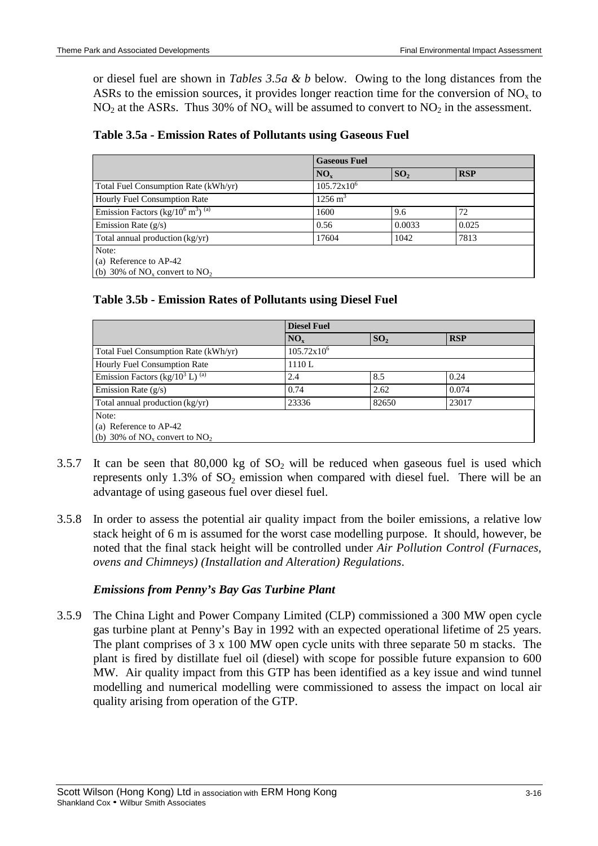or diesel fuel are shown in *Tables 3.5a & b* below. Owing to the long distances from the ASRs to the emission sources, it provides longer reaction time for the conversion of  $NO<sub>x</sub>$  to  $NO<sub>2</sub>$  at the ASRs. Thus 30% of  $NO<sub>x</sub>$  will be assumed to convert to  $NO<sub>2</sub>$  in the assessment.

| Table 3.5a - Emission Rates of Pollutants using Gaseous Fuel |  |  |  |
|--------------------------------------------------------------|--|--|--|
|--------------------------------------------------------------|--|--|--|

|                                                                        | <b>Gaseous Fuel</b>  |                 |            |  |  |
|------------------------------------------------------------------------|----------------------|-----------------|------------|--|--|
|                                                                        | $NO_{x}$             | SO <sub>2</sub> | <b>RSP</b> |  |  |
| Total Fuel Consumption Rate (kWh/yr)                                   | $105.72 \times 10^6$ |                 |            |  |  |
| Hourly Fuel Consumption Rate                                           | $1256 \text{ m}^3$   |                 |            |  |  |
| Emission Factors (kg/10 <sup>6</sup> m <sup>3</sup> ) <sup>(a)</sup>   | 1600                 | 9.6             | 72         |  |  |
| Emission Rate (g/s)                                                    | 0.56                 | 0.0033          | 0.025      |  |  |
| Total annual production (kg/yr)                                        | 17604                | 1042            | 7813       |  |  |
| Note:<br>(a) Reference to AP-42<br>(b) 30% of $NO_x$ convert to $NO_2$ |                      |                 |            |  |  |

## **Table 3.5b - Emission Rates of Pollutants using Diesel Fuel**

|                                                        | <b>Diesel Fuel</b>   |                 |            |  |  |  |
|--------------------------------------------------------|----------------------|-----------------|------------|--|--|--|
|                                                        | NO <sub>x</sub>      | SO <sub>2</sub> | <b>RSP</b> |  |  |  |
| Total Fuel Consumption Rate (kWh/yr)                   | $105.72 \times 10^6$ |                 |            |  |  |  |
| Hourly Fuel Consumption Rate                           | 1110L                |                 |            |  |  |  |
| Emission Factors (kg/10 <sup>3</sup> L) <sup>(a)</sup> | 2.4                  | 8.5             | 0.24       |  |  |  |
| Emission Rate $(g/s)$                                  | 0.74                 | 2.62            | 0.074      |  |  |  |
| Total annual production (kg/yr)                        | 23336                | 82650           | 23017      |  |  |  |
| Note:                                                  |                      |                 |            |  |  |  |
| (a) Reference to AP-42                                 |                      |                 |            |  |  |  |
| (b) 30% of $NOx$ convert to $NO2$                      |                      |                 |            |  |  |  |

- 3.5.7 It can be seen that 80,000 kg of  $SO_2$  will be reduced when gaseous fuel is used which represents only  $1.3\%$  of  $SO<sub>2</sub>$  emission when compared with diesel fuel. There will be an advantage of using gaseous fuel over diesel fuel.
- 3.5.8 In order to assess the potential air quality impact from the boiler emissions, a relative low stack height of 6 m is assumed for the worst case modelling purpose. It should, however, be noted that the final stack height will be controlled under *Air Pollution Control (Furnaces, ovens and Chimneys) (Installation and Alteration) Regulations*.

### *Emissions from Penny's Bay Gas Turbine Plant*

3.5.9 The China Light and Power Company Limited (CLP) commissioned a 300 MW open cycle gas turbine plant at Penny's Bay in 1992 with an expected operational lifetime of 25 years. The plant comprises of 3 x 100 MW open cycle units with three separate 50 m stacks. The plant is fired by distillate fuel oil (diesel) with scope for possible future expansion to 600 MW. Air quality impact from this GTP has been identified as a key issue and wind tunnel modelling and numerical modelling were commissioned to assess the impact on local air quality arising from operation of the GTP.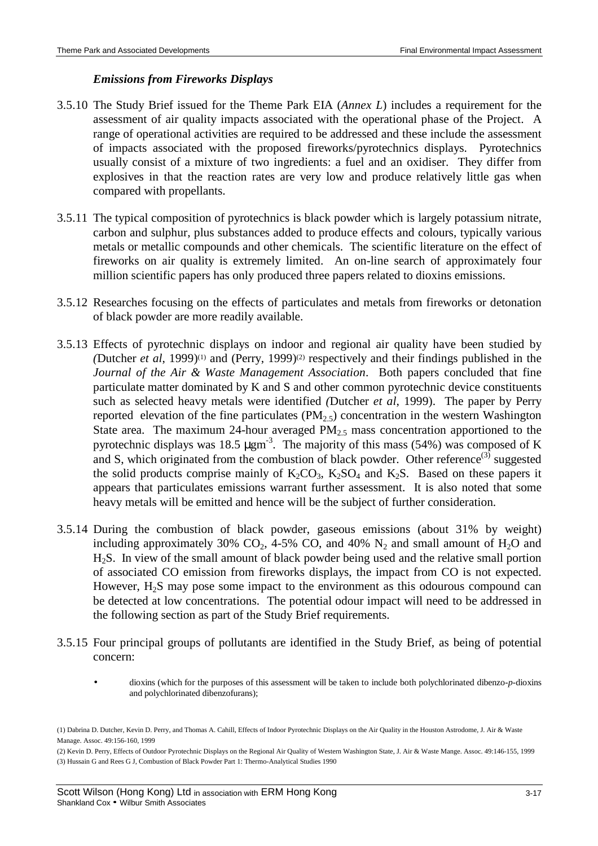#### *Emissions from Fireworks Displays*

- 3.5.10 The Study Brief issued for the Theme Park EIA (*Annex L*) includes a requirement for the assessment of air quality impacts associated with the operational phase of the Project. A range of operational activities are required to be addressed and these include the assessment of impacts associated with the proposed fireworks/pyrotechnics displays. Pyrotechnics usually consist of a mixture of two ingredients: a fuel and an oxidiser. They differ from explosives in that the reaction rates are very low and produce relatively little gas when compared with propellants.
- 3.5.11 The typical composition of pyrotechnics is black powder which is largely potassium nitrate, carbon and sulphur, plus substances added to produce effects and colours, typically various metals or metallic compounds and other chemicals. The scientific literature on the effect of fireworks on air quality is extremely limited. An on-line search of approximately four million scientific papers has only produced three papers related to dioxins emissions.
- 3.5.12 Researches focusing on the effects of particulates and metals from fireworks or detonation of black powder are more readily available.
- 3.5.13 Effects of pyrotechnic displays on indoor and regional air quality have been studied by *(*Dutcher *et al*, 1999)(1) and (Perry, 1999)(2) respectively and their findings published in the *Journal of the Air & Waste Management Association*. Both papers concluded that fine particulate matter dominated by K and S and other common pyrotechnic device constituents such as selected heavy metals were identified *(*Dutcher *et al*, 1999). The paper by Perry reported elevation of the fine particulates  $(PM<sub>2.5</sub>)$  concentration in the western Washington State area. The maximum 24-hour averaged  $PM_{2.5}$  mass concentration apportioned to the pyrotechnic displays was 18.5  $\mu$ gm<sup>-3</sup>. The majority of this mass (54%) was composed of K and S, which originated from the combustion of black powder. Other reference<sup>(3)</sup> suggested the solid products comprise mainly of  $K_2CO_3$ ,  $K_2SO_4$  and  $K_2S$ . Based on these papers it appears that particulates emissions warrant further assessment. It is also noted that some heavy metals will be emitted and hence will be the subject of further consideration.
- 3.5.14 During the combustion of black powder, gaseous emissions (about 31% by weight) including approximately 30% CO<sub>2</sub>, 4-5% CO, and 40%  $N_2$  and small amount of H<sub>2</sub>O and H2S. In view of the small amount of black powder being used and the relative small portion of associated CO emission from fireworks displays, the impact from CO is not expected. However,  $H_2S$  may pose some impact to the environment as this odourous compound can be detected at low concentrations. The potential odour impact will need to be addressed in the following section as part of the Study Brief requirements.
- 3.5.15 Four principal groups of pollutants are identified in the Study Brief, as being of potential concern:
	- dioxins (which for the purposes of this assessment will be taken to include both polychlorinated dibenzo-*p*-dioxins and polychlorinated dibenzofurans);

(2) Kevin D. Perry, Effects of Outdoor Pyrotechnic Displays on the Regional Air Quality of Western Washington State, J. Air & Waste Mange. Assoc. 49:146-155, 1999 (3) Hussain G and Rees G J, Combustion of Black Powder Part 1: Thermo-Analytical Studies 1990

<sup>(1)</sup> Dabrina D. Dutcher, Kevin D. Perry, and Thomas A. Cahill, Effects of Indoor Pyrotechnic Displays on the Air Quality in the Houston Astrodome, J. Air & Waste Manage. Assoc. 49:156-160, 1999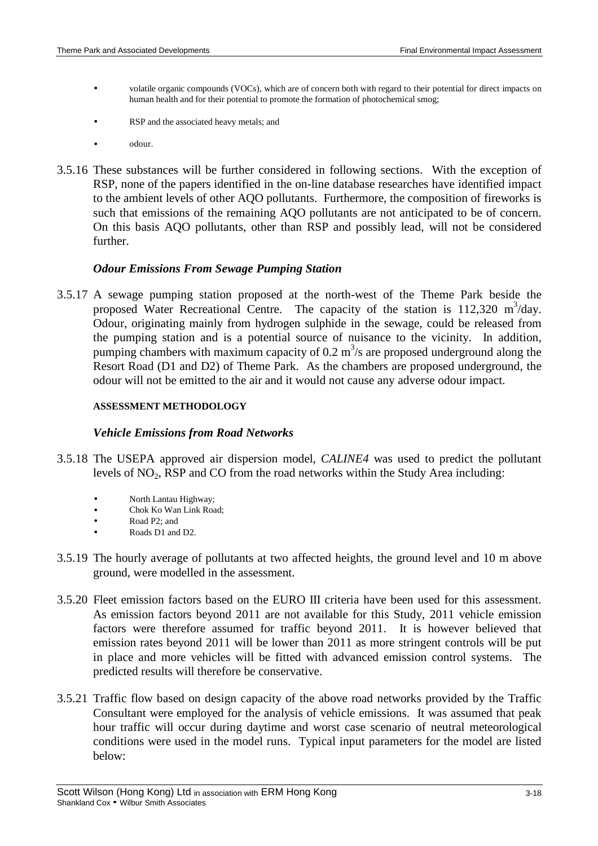- volatile organic compounds (VOCs), which are of concern both with regard to their potential for direct impacts on human health and for their potential to promote the formation of photochemical smog;
- RSP and the associated heavy metals; and
- odour.
- 3.5.16 These substances will be further considered in following sections. With the exception of RSP, none of the papers identified in the on-line database researches have identified impact to the ambient levels of other AQO pollutants. Furthermore, the composition of fireworks is such that emissions of the remaining AQO pollutants are not anticipated to be of concern. On this basis AQO pollutants, other than RSP and possibly lead, will not be considered further.

### *Odour Emissions From Sewage Pumping Station*

3.5.17 A sewage pumping station proposed at the north-west of the Theme Park beside the proposed Water Recreational Centre. The capacity of the station is 112,320 m<sup>3</sup>/day. Odour, originating mainly from hydrogen sulphide in the sewage, could be released from the pumping station and is a potential source of nuisance to the vicinity. In addition, pumping chambers with maximum capacity of 0.2  $m^3/s$  are proposed underground along the Resort Road (D1 and D2) of Theme Park. As the chambers are proposed underground, the odour will not be emitted to the air and it would not cause any adverse odour impact.

#### **ASSESSMENT METHODOLOGY**

#### *Vehicle Emissions from Road Networks*

- 3.5.18 The USEPA approved air dispersion model, *CALINE4* was used to predict the pollutant levels of  $NO<sub>2</sub>$ , RSP and CO from the road networks within the Study Area including:
	- North Lantau Highway;
	- Chok Ko Wan Link Road:
	- Road P2; and
	- Roads D1 and D2.
- 3.5.19 The hourly average of pollutants at two affected heights, the ground level and 10 m above ground, were modelled in the assessment.
- 3.5.20 Fleet emission factors based on the EURO III criteria have been used for this assessment. As emission factors beyond 2011 are not available for this Study, 2011 vehicle emission factors were therefore assumed for traffic beyond 2011. It is however believed that emission rates beyond 2011 will be lower than 2011 as more stringent controls will be put in place and more vehicles will be fitted with advanced emission control systems. The predicted results will therefore be conservative.
- 3.5.21 Traffic flow based on design capacity of the above road networks provided by the Traffic Consultant were employed for the analysis of vehicle emissions. It was assumed that peak hour traffic will occur during daytime and worst case scenario of neutral meteorological conditions were used in the model runs. Typical input parameters for the model are listed below: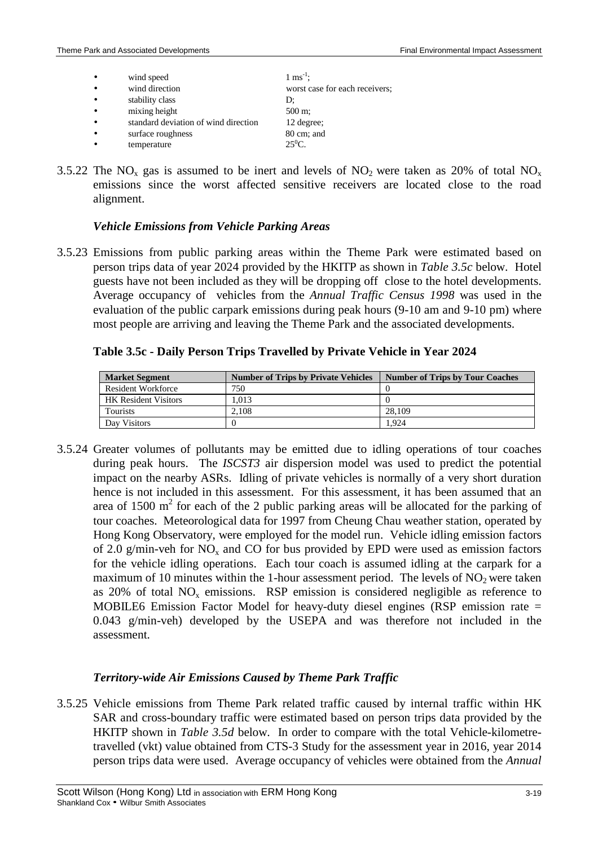| wind speed                           | $1 \text{ ms}^{-1}$ ;          |
|--------------------------------------|--------------------------------|
| wind direction                       | worst case for each receivers; |
| stability class                      | D:                             |
| mixing height                        | 500 m;                         |
| standard deviation of wind direction | 12 degree;                     |
| surface roughness                    | 80 cm; and                     |

- temperature  $25^0C$ .
- 3.5.22 The NO<sub>x</sub> gas is assumed to be inert and levels of NO<sub>2</sub> were taken as 20% of total NO<sub>x</sub> emissions since the worst affected sensitive receivers are located close to the road alignment.

## *Vehicle Emissions from Vehicle Parking Areas*

3.5.23 Emissions from public parking areas within the Theme Park were estimated based on person trips data of year 2024 provided by the HKITP as shown in *Table 3.5c* below. Hotel guests have not been included as they will be dropping off close to the hotel developments. Average occupancy of vehicles from the *Annual Traffic Census 1998* was used in the evaluation of the public carpark emissions during peak hours (9-10 am and 9-10 pm) where most people are arriving and leaving the Theme Park and the associated developments.

# **Table 3.5c - Daily Person Trips Travelled by Private Vehicle in Year 2024**

| <b>Market Segment</b>       | <b>Number of Trips by Private Vehicles</b> | <b>Number of Trips by Tour Coaches</b> |
|-----------------------------|--------------------------------------------|----------------------------------------|
| Resident Workforce          | 750                                        |                                        |
| <b>HK</b> Resident Visitors | 1.013                                      |                                        |
| Tourists                    | 2.108                                      | 28,109                                 |
| Day Visitors                |                                            | .924                                   |

3.5.24 Greater volumes of pollutants may be emitted due to idling operations of tour coaches during peak hours. The *ISCST3* air dispersion model was used to predict the potential impact on the nearby ASRs. Idling of private vehicles is normally of a very short duration hence is not included in this assessment. For this assessment, it has been assumed that an area of 1500  $m<sup>2</sup>$  for each of the 2 public parking areas will be allocated for the parking of tour coaches. Meteorological data for 1997 from Cheung Chau weather station, operated by Hong Kong Observatory, were employed for the model run. Vehicle idling emission factors of 2.0 g/min-veh for  $NO<sub>x</sub>$  and CO for bus provided by EPD were used as emission factors for the vehicle idling operations. Each tour coach is assumed idling at the carpark for a maximum of 10 minutes within the 1-hour assessment period. The levels of  $NO<sub>2</sub>$  were taken as  $20\%$  of total NO<sub>x</sub> emissions. RSP emission is considered negligible as reference to MOBILE6 Emission Factor Model for heavy-duty diesel engines (RSP emission rate = 0.043 g/min-veh) developed by the USEPA and was therefore not included in the assessment.

# *Territory-wide Air Emissions Caused by Theme Park Traffic*

3.5.25 Vehicle emissions from Theme Park related traffic caused by internal traffic within HK SAR and cross-boundary traffic were estimated based on person trips data provided by the HKITP shown in *Table 3.5d* below. In order to compare with the total Vehicle-kilometretravelled (vkt) value obtained from CTS-3 Study for the assessment year in 2016, year 2014 person trips data were used. Average occupancy of vehicles were obtained from the *Annual*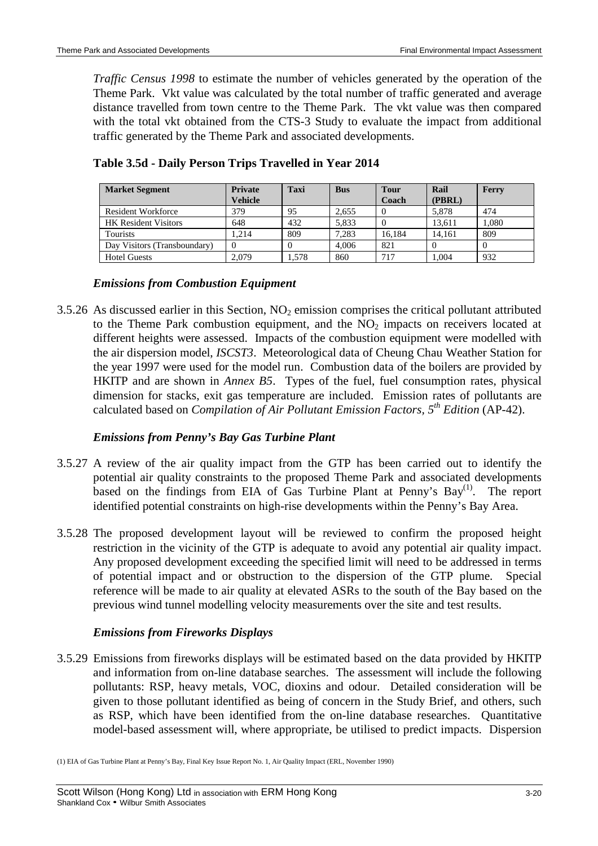*Traffic Census 1998* to estimate the number of vehicles generated by the operation of the Theme Park. Vkt value was calculated by the total number of traffic generated and average distance travelled from town centre to the Theme Park. The vkt value was then compared with the total vkt obtained from the CTS-3 Study to evaluate the impact from additional traffic generated by the Theme Park and associated developments.

| <b>Market Segment</b>        | <b>Private</b> | <b>Taxi</b> | <b>Bus</b> | <b>Tour</b> | Rail   | Ferry |
|------------------------------|----------------|-------------|------------|-------------|--------|-------|
|                              | <b>Vehicle</b> |             |            | Coach       | (PBRL) |       |
| <b>Resident Workforce</b>    | 379            | 95          | 2.655      |             | 5.878  | 474   |
| <b>HK</b> Resident Visitors  | 648            | 432         | 5.833      |             | 13.611 | 1.080 |
| <b>Tourists</b>              | 1.214          | 809         | 7.283      | 16.184      | 14.161 | 809   |
| Day Visitors (Transboundary) |                |             | 4.006      | 821         |        | -0    |
| <b>Hotel Guests</b>          | 2.079          | 1.578       | 860        | 717         | 1.004  | 932   |

**Table 3.5d - Daily Person Trips Travelled in Year 2014**

## *Emissions from Combustion Equipment*

3.5.26 As discussed earlier in this Section,  $NO<sub>2</sub>$  emission comprises the critical pollutant attributed to the Theme Park combustion equipment, and the  $NO<sub>2</sub>$  impacts on receivers located at different heights were assessed. Impacts of the combustion equipment were modelled with the air dispersion model, *ISCST3*. Meteorological data of Cheung Chau Weather Station for the year 1997 were used for the model run. Combustion data of the boilers are provided by HKITP and are shown in *Annex B5*. Types of the fuel, fuel consumption rates, physical dimension for stacks, exit gas temperature are included. Emission rates of pollutants are calculated based on *Compilation of Air Pollutant Emission Factors, 5th Edition* (AP-42).

# *Emissions from Penny's Bay Gas Turbine Plant*

- 3.5.27 A review of the air quality impact from the GTP has been carried out to identify the potential air quality constraints to the proposed Theme Park and associated developments based on the findings from EIA of Gas Turbine Plant at Penny's  $Bay^{(1)}$ . The report identified potential constraints on high-rise developments within the Penny's Bay Area.
- 3.5.28 The proposed development layout will be reviewed to confirm the proposed height restriction in the vicinity of the GTP is adequate to avoid any potential air quality impact. Any proposed development exceeding the specified limit will need to be addressed in terms of potential impact and or obstruction to the dispersion of the GTP plume. Special reference will be made to air quality at elevated ASRs to the south of the Bay based on the previous wind tunnel modelling velocity measurements over the site and test results.

# *Emissions from Fireworks Displays*

3.5.29 Emissions from fireworks displays will be estimated based on the data provided by HKITP and information from on-line database searches. The assessment will include the following pollutants: RSP, heavy metals, VOC, dioxins and odour. Detailed consideration will be given to those pollutant identified as being of concern in the Study Brief, and others, such as RSP, which have been identified from the on-line database researches. Quantitative model-based assessment will, where appropriate, be utilised to predict impacts. Dispersion

<sup>(1)</sup> EIA of Gas Turbine Plant at Penny's Bay, Final Key Issue Report No. 1, Air Quality Impact (ERL, November 1990)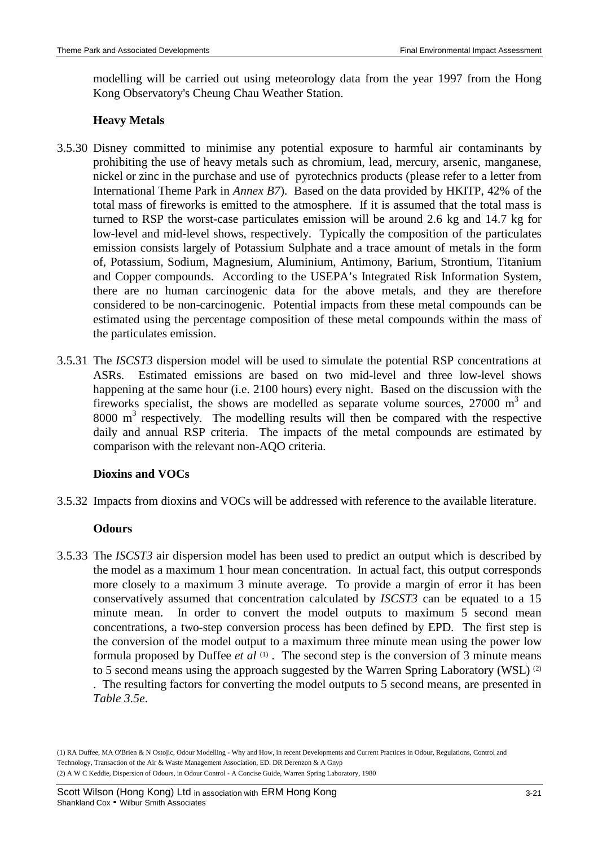modelling will be carried out using meteorology data from the year 1997 from the Hong Kong Observatory's Cheung Chau Weather Station.

# **Heavy Metals**

- 3.5.30 Disney committed to minimise any potential exposure to harmful air contaminants by prohibiting the use of heavy metals such as chromium, lead, mercury, arsenic, manganese, nickel or zinc in the purchase and use of pyrotechnics products (please refer to a letter from International Theme Park in *Annex B7*). Based on the data provided by HKITP, 42% of the total mass of fireworks is emitted to the atmosphere. If it is assumed that the total mass is turned to RSP the worst-case particulates emission will be around 2.6 kg and 14.7 kg for low-level and mid-level shows, respectively. Typically the composition of the particulates emission consists largely of Potassium Sulphate and a trace amount of metals in the form of, Potassium, Sodium, Magnesium, Aluminium, Antimony, Barium, Strontium, Titanium and Copper compounds. According to the USEPA's Integrated Risk Information System, there are no human carcinogenic data for the above metals, and they are therefore considered to be non-carcinogenic. Potential impacts from these metal compounds can be estimated using the percentage composition of these metal compounds within the mass of the particulates emission.
- 3.5.31 The *ISCST3* dispersion model will be used to simulate the potential RSP concentrations at ASRs. Estimated emissions are based on two mid-level and three low-level shows happening at the same hour (i.e. 2100 hours) every night. Based on the discussion with the fireworks specialist, the shows are modelled as separate volume sources,  $27000 \text{ m}^3$  and  $8000 \text{ m}^3$  respectively. The modelling results will then be compared with the respective daily and annual RSP criteria. The impacts of the metal compounds are estimated by comparison with the relevant non-AQO criteria.

# **Dioxins and VOCs**

3.5.32 Impacts from dioxins and VOCs will be addressed with reference to the available literature.

# **Odours**

3.5.33 The *ISCST3* air dispersion model has been used to predict an output which is described by the model as a maximum 1 hour mean concentration. In actual fact, this output corresponds more closely to a maximum 3 minute average. To provide a margin of error it has been conservatively assumed that concentration calculated by *ISCST3* can be equated to a 15 minute mean. In order to convert the model outputs to maximum 5 second mean concentrations, a two-step conversion process has been defined by EPD. The first step is the conversion of the model output to a maximum three minute mean using the power low formula proposed by Duffee *et al* <sup>(1)</sup>. The second step is the conversion of 3 minute means to 5 second means using the approach suggested by the Warren Spring Laboratory (WSL) <sup>(2)</sup> . The resulting factors for converting the model outputs to 5 second means, are presented in *Table 3.5e*.

(1) RA Duffee, MA O'Brien & N Ostojic, Odour Modelling - Why and How, in recent Developments and Current Practices in Odour, Regulations, Control and Technology, Transaction of the Air & Waste Management Association, ED. DR Derenzon & A Gnyp (2) A W C Keddie, Dispersion of Odours, in Odour Control - A Concise Guide, Warren Spring Laboratory, 1980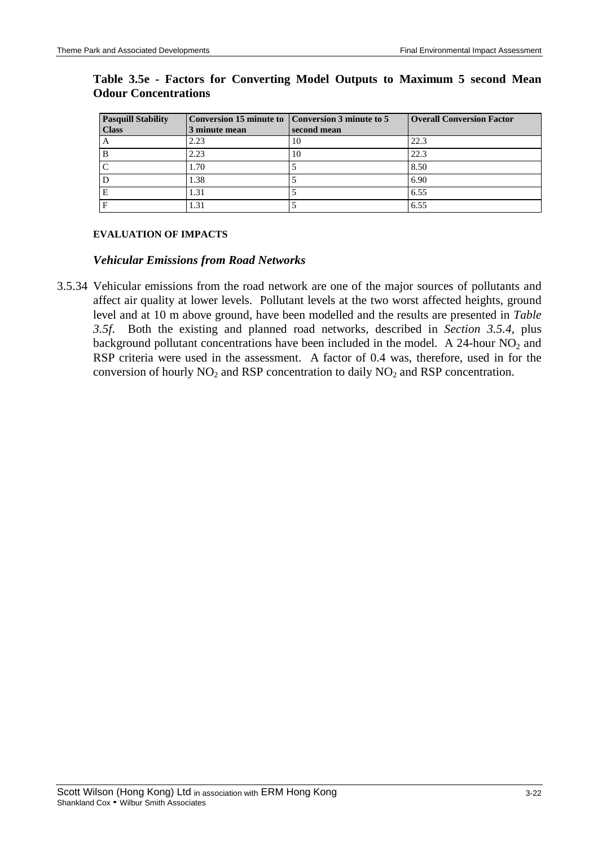| <b>Pasquill Stability</b> |               | Conversion 15 minute to Conversion 3 minute to 5 | <b>Overall Conversion Factor</b> |
|---------------------------|---------------|--------------------------------------------------|----------------------------------|
| <b>Class</b>              | 3 minute mean | second mean                                      |                                  |
| A                         | 2.23          | 10                                               | 22.3                             |
| в                         | 2.23          | 10                                               | 22.3                             |
|                           | 1.70          |                                                  | 8.50                             |
|                           | 1.38          |                                                  | 6.90                             |
|                           | 1.31          |                                                  | 6.55                             |
|                           | 1.31          |                                                  | 6.55                             |

# **Table 3.5e - Factors for Converting Model Outputs to Maximum 5 second Mean Odour Concentrations**

### **EVALUATION OF IMPACTS**

### *Vehicular Emissions from Road Networks*

3.5.34 Vehicular emissions from the road network are one of the major sources of pollutants and affect air quality at lower levels. Pollutant levels at the two worst affected heights, ground level and at 10 m above ground, have been modelled and the results are presented in *Table 3.5f*. Both the existing and planned road networks, described in *Section 3.5.4*, plus background pollutant concentrations have been included in the model. A 24-hour  $NO<sub>2</sub>$  and RSP criteria were used in the assessment. A factor of 0.4 was, therefore, used in for the conversion of hourly  $NO<sub>2</sub>$  and RSP concentration to daily  $NO<sub>2</sub>$  and RSP concentration.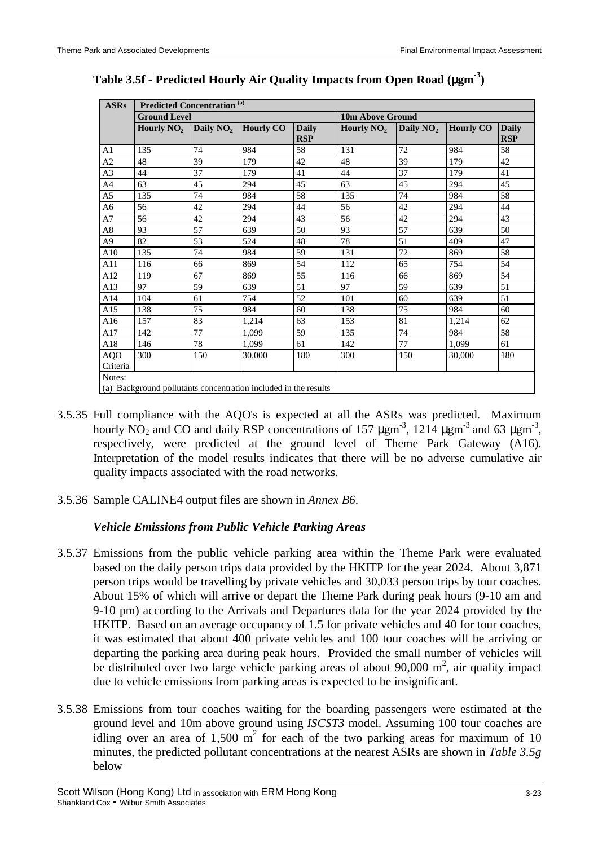| <b>ASRs</b>    | <b>Predicted Concentration (a)</b>                              |             |                  |                            |                         |             |                  |                            |  |
|----------------|-----------------------------------------------------------------|-------------|------------------|----------------------------|-------------------------|-------------|------------------|----------------------------|--|
|                | <b>Ground Level</b>                                             |             |                  |                            | <b>10m Above Ground</b> |             |                  |                            |  |
|                | Hourly $NO2$                                                    | Daily $NO2$ | <b>Hourly CO</b> | <b>Daily</b><br><b>RSP</b> | Hourly $NO2$            | Daily $NO2$ | <b>Hourly CO</b> | <b>Daily</b><br><b>RSP</b> |  |
| A1             | 135                                                             | 74          | 984              | 58                         | 131                     | 72          | 984              | 58                         |  |
| A2             | 48                                                              | 39          | 179              | 42                         | 48                      | 39          | 179              | 42                         |  |
| A3             | 44                                                              | 37          | 179              | 41                         | 44                      | 37          | 179              | 41                         |  |
| A4             | 63                                                              | 45          | 294              | 45                         | 63                      | 45          | 294              | 45                         |  |
| A <sub>5</sub> | 135                                                             | 74          | 984              | 58                         | 135                     | 74          | 984              | 58                         |  |
| A6             | 56                                                              | 42          | 294              | 44                         | 56                      | 42          | 294              | 44                         |  |
| A7             | 56                                                              | 42          | 294              | 43                         | 56                      | 42          | 294              | 43                         |  |
| $\rm A8$       | 93                                                              | 57          | 639              | 50                         | 93                      | 57          | 639              | 50                         |  |
| A9             | 82                                                              | 53          | 524              | 48                         | 78                      | 51          | 409              | 47                         |  |
| A10            | 135                                                             | 74          | 984              | 59                         | 131                     | 72          | 869              | 58                         |  |
| A11            | 116                                                             | 66          | 869              | 54                         | 112                     | 65          | 754              | 54                         |  |
| A12            | 119                                                             | 67          | 869              | 55                         | 116                     | 66          | 869              | 54                         |  |
| A13            | 97                                                              | 59          | 639              | 51                         | 97                      | 59          | 639              | 51                         |  |
| A14            | 104                                                             | 61          | 754              | 52                         | 101                     | 60          | 639              | 51                         |  |
| A15            | 138                                                             | 75          | 984              | 60                         | 138                     | 75          | 984              | 60                         |  |
| A16            | 157                                                             | 83          | 1,214            | 63                         | 153                     | 81          | 1,214            | 62                         |  |
| A17            | 142                                                             | 77          | 1,099            | 59                         | 135                     | 74          | 984              | 58                         |  |
| A18            | 146                                                             | 78          | 1.099            | 61                         | 142                     | 77          | 1,099            | 61                         |  |
| AQO            | 300                                                             | 150         | 30,000           | 180                        | 300                     | 150         | 30,000           | 180                        |  |
| Criteria       |                                                                 |             |                  |                            |                         |             |                  |                            |  |
| Notes:         |                                                                 |             |                  |                            |                         |             |                  |                            |  |
|                | (a) Background pollutants concentration included in the results |             |                  |                            |                         |             |                  |                            |  |

# **Table 3.5f - Predicted Hourly Air Quality Impacts from Open Road (**µ**gm-3)**

- 3.5.35 Full compliance with the AQO's is expected at all the ASRs was predicted. Maximum hourly NO<sub>2</sub> and CO and daily RSP concentrations of 157  $\mu$ gm<sup>-3</sup>, 1214  $\mu$ gm<sup>-3</sup> and 63  $\mu$ gm<sup>-3</sup>, respectively, were predicted at the ground level of Theme Park Gateway (A16). Interpretation of the model results indicates that there will be no adverse cumulative air quality impacts associated with the road networks.
- 3.5.36 Sample CALINE4 output files are shown in *Annex B6*.

# *Vehicle Emissions from Public Vehicle Parking Areas*

- 3.5.37 Emissions from the public vehicle parking area within the Theme Park were evaluated based on the daily person trips data provided by the HKITP for the year 2024. About 3,871 person trips would be travelling by private vehicles and 30,033 person trips by tour coaches. About 15% of which will arrive or depart the Theme Park during peak hours (9-10 am and 9-10 pm) according to the Arrivals and Departures data for the year 2024 provided by the HKITP. Based on an average occupancy of 1.5 for private vehicles and 40 for tour coaches, it was estimated that about 400 private vehicles and 100 tour coaches will be arriving or departing the parking area during peak hours. Provided the small number of vehicles will be distributed over two large vehicle parking areas of about 90,000  $m^2$ , air quality impact due to vehicle emissions from parking areas is expected to be insignificant.
- 3.5.38 Emissions from tour coaches waiting for the boarding passengers were estimated at the ground level and 10m above ground using *ISCST3* model. Assuming 100 tour coaches are idling over an area of  $1,500 \text{ m}^2$  for each of the two parking areas for maximum of 10 minutes, the predicted pollutant concentrations at the nearest ASRs are shown in *Table 3.5g* below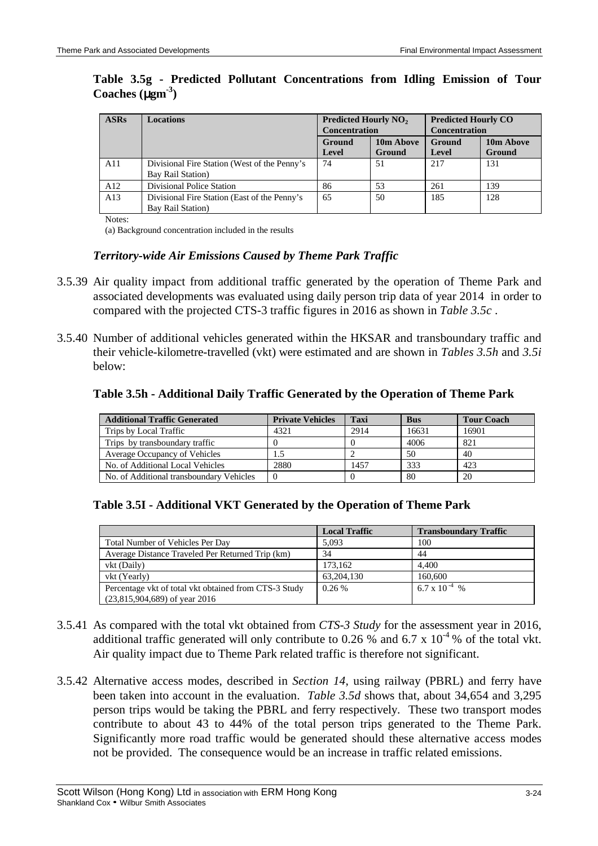## **Table 3.5g - Predicted Pollutant Concentrations from Idling Emission of Tour Coaches (**µ**gm-3)**

| <b>ASRs</b> | <b>Locations</b>                             | <b>Predicted Hourly NO<sub>2</sub></b> |                      | <b>Predicted Hourly CO</b> |                      |  |
|-------------|----------------------------------------------|----------------------------------------|----------------------|----------------------------|----------------------|--|
|             |                                              |                                        | <b>Concentration</b> |                            | <b>Concentration</b> |  |
|             |                                              | 10m Above<br>Ground                    |                      | Ground                     | 10m Above            |  |
|             |                                              | Level                                  | Ground               | <b>Level</b>               | Ground               |  |
| A11         | Divisional Fire Station (West of the Penny's | 74                                     | 51                   | 217                        | 131                  |  |
|             | <b>Bay Rail Station</b> )                    |                                        |                      |                            |                      |  |
| A12         | Divisional Police Station                    | 86                                     | 53                   | 261                        | 139                  |  |
| A13         | Divisional Fire Station (East of the Penny's | 65                                     | 50                   | 185                        | 128                  |  |
|             | <b>Bay Rail Station</b> )                    |                                        |                      |                            |                      |  |

Notes:

(a) Background concentration included in the results

## *Territory-wide Air Emissions Caused by Theme Park Traffic*

- 3.5.39 Air quality impact from additional traffic generated by the operation of Theme Park and associated developments was evaluated using daily person trip data of year 2014 in order to compared with the projected CTS-3 traffic figures in 2016 as shown in *Table 3.5c* .
- 3.5.40 Number of additional vehicles generated within the HKSAR and transboundary traffic and their vehicle-kilometre-travelled (vkt) were estimated and are shown in *Tables 3.5h* and *3.5i* below:

#### **Table 3.5h - Additional Daily Traffic Generated by the Operation of Theme Park**

| <b>Additional Traffic Generated</b>      | <b>Private Vehicles</b> | <b>Taxi</b> | <b>Bus</b> | <b>Tour Coach</b> |
|------------------------------------------|-------------------------|-------------|------------|-------------------|
| Trips by Local Traffic                   | 4321                    | 2914        | 16631      | 16901             |
| Trips by transboundary traffic           |                         |             | 4006       | 821               |
| Average Occupancy of Vehicles            |                         |             | 50         | 40                |
| No. of Additional Local Vehicles         | 2880                    | 1457        | 333        | 423               |
| No. of Additional transboundary Vehicles | $\Omega$                |             | 80         | 20                |

### **Table 3.5I - Additional VKT Generated by the Operation of Theme Park**

|                                                       | <b>Local Traffic</b> | <b>Transboundary Traffic</b> |
|-------------------------------------------------------|----------------------|------------------------------|
| Total Number of Vehicles Per Day                      | 5.093                | 100                          |
| Average Distance Traveled Per Returned Trip (km)      | 34                   | 44                           |
| vkt (Daily)                                           | 173.162              | 4.400                        |
| vkt (Yearly)                                          | 63, 204, 130         | 160,600                      |
| Percentage vkt of total vkt obtained from CTS-3 Study | 0.26%                | 6.7 x 10 <sup>-4</sup> %     |
| $(23,815,904,689)$ of year 2016                       |                      |                              |

- 3.5.41 As compared with the total vkt obtained from *CTS-3 Study* for the assessment year in 2016, additional traffic generated will only contribute to 0.26 % and 6.7 x  $10^{-4}$  % of the total vkt. Air quality impact due to Theme Park related traffic is therefore not significant.
- 3.5.42 Alternative access modes, described in *Section 14*, using railway (PBRL) and ferry have been taken into account in the evaluation. *Table 3.5d* shows that, about 34,654 and 3,295 person trips would be taking the PBRL and ferry respectively. These two transport modes contribute to about 43 to 44% of the total person trips generated to the Theme Park. Significantly more road traffic would be generated should these alternative access modes not be provided. The consequence would be an increase in traffic related emissions.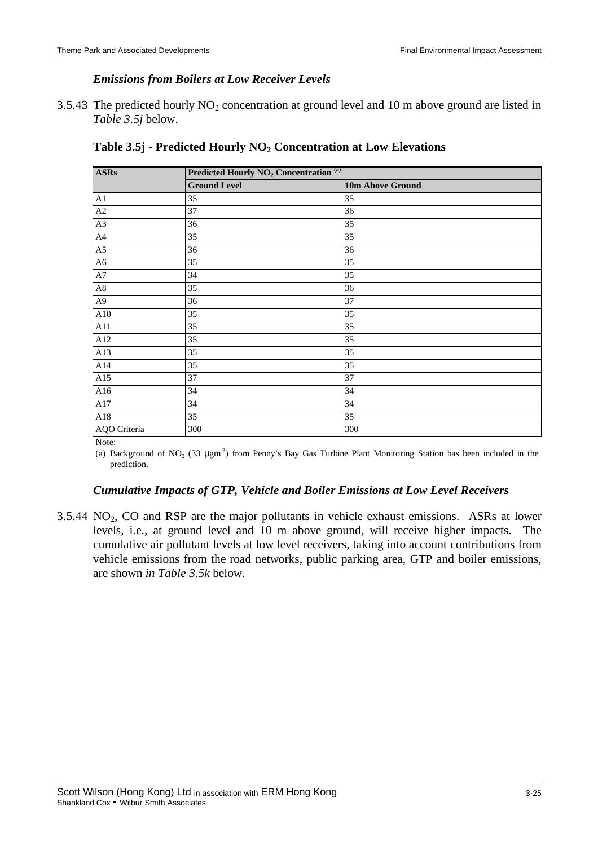# *Emissions from Boilers at Low Receiver Levels*

3.5.43 The predicted hourly  $NO<sub>2</sub>$  concentration at ground level and 10 m above ground are listed in *Table 3.5j* below.

| <b>ASRs</b>                  | Predicted Hourly NO <sub>2</sub> Concentration <sup>(a)</sup> |                  |  |  |  |
|------------------------------|---------------------------------------------------------------|------------------|--|--|--|
|                              | <b>Ground Level</b>                                           | 10m Above Ground |  |  |  |
| A1                           | 35                                                            | 35               |  |  |  |
| $\rm A2$                     | 37                                                            | 36               |  |  |  |
| A3                           | 36                                                            | 35               |  |  |  |
| A4                           | 35                                                            | 35               |  |  |  |
| A5                           | 36                                                            | 36               |  |  |  |
| A6                           | 35                                                            | 35               |  |  |  |
| A7                           | 34                                                            | 35               |  |  |  |
| $\rm A8$                     | 35                                                            | 36               |  |  |  |
| A9                           | 36                                                            | 37               |  |  |  |
| A10                          | 35                                                            | 35               |  |  |  |
| A11                          | 35                                                            | 35               |  |  |  |
| A12                          | 35                                                            | 35               |  |  |  |
| A13                          | 35                                                            | 35               |  |  |  |
| A14                          | 35                                                            | 35               |  |  |  |
| A15                          | 37                                                            | 37               |  |  |  |
| A16                          | 34                                                            | 34               |  |  |  |
| A17                          | 34                                                            | 34               |  |  |  |
| A18                          | 35                                                            | 35               |  |  |  |
| AQO Criteria<br>$\mathbf{r}$ | 300                                                           | 300              |  |  |  |

|  | Table 3.5j - Predicted Hourly $NO2$ Concentration at Low Elevations |  |  |  |  |
|--|---------------------------------------------------------------------|--|--|--|--|
|--|---------------------------------------------------------------------|--|--|--|--|

Note:

(a) Background of  $NO_2$  (33  $\mu$ gm<sup>-3</sup>) from Penny's Bay Gas Turbine Plant Monitoring Station has been included in the prediction.

# *Cumulative Impacts of GTP, Vehicle and Boiler Emissions at Low Level Receivers*

 $3.5.44 \text{ NO}_2$ , CO and RSP are the major pollutants in vehicle exhaust emissions. ASRs at lower levels, i.e., at ground level and 10 m above ground, will receive higher impacts. The cumulative air pollutant levels at low level receivers, taking into account contributions from vehicle emissions from the road networks, public parking area, GTP and boiler emissions, are shown *in Table 3.5k* below.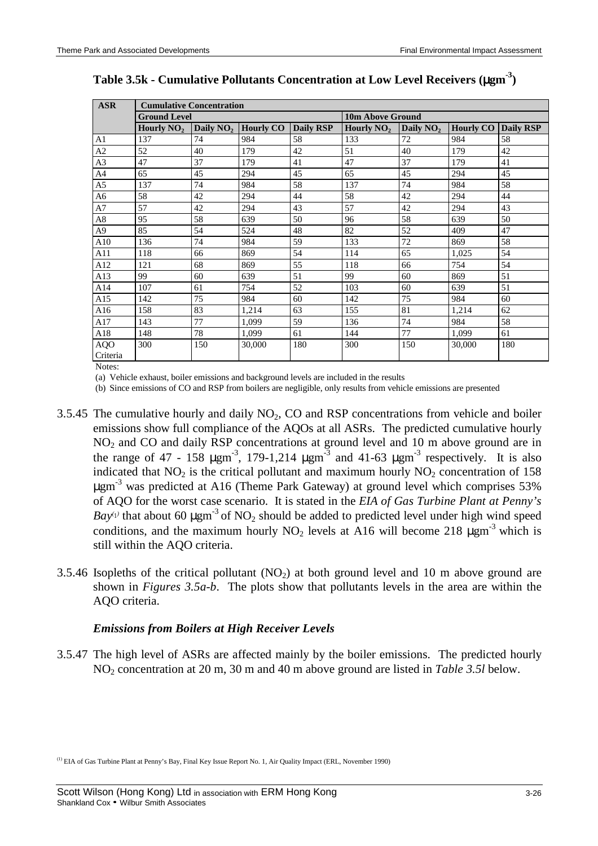| <b>ASR</b>     |                     | <b>Cumulative Concentration</b> |                  |                  |                         |                       |                  |           |
|----------------|---------------------|---------------------------------|------------------|------------------|-------------------------|-----------------------|------------------|-----------|
|                | <b>Ground Level</b> |                                 |                  |                  | <b>10m Above Ground</b> |                       |                  |           |
|                | Hourly $NO2$        | Daily $NO2$                     | <b>Hourly CO</b> | <b>Daily RSP</b> | Hourly $NO2$            | Daily NO <sub>2</sub> | <b>Hourly CO</b> | Daily RSP |
| $\mathbf{A}1$  | 137                 | 74                              | 984              | 58               | 133                     | 72                    | 984              | 58        |
| A2             | 52                  | 40                              | 179              | 42               | 51                      | 40                    | 179              | 42        |
| A3             | 47                  | 37                              | 179              | 41               | 47                      | 37                    | 179              | 41        |
| A4             | 65                  | 45                              | 294              | 45               | 65                      | 45                    | 294              | 45        |
| A <sub>5</sub> | 137                 | 74                              | 984              | 58               | 137                     | 74                    | 984              | 58        |
| A6             | 58                  | 42                              | 294              | 44               | 58                      | 42                    | 294              | 44        |
| $\rm A7$       | 57                  | 42                              | 294              | 43               | 57                      | 42                    | 294              | 43        |
| $\rm A8$       | 95                  | 58                              | 639              | 50               | 96                      | 58                    | 639              | 50        |
| A <sub>9</sub> | 85                  | 54                              | 524              | 48               | 82                      | 52                    | 409              | 47        |
| A10            | 136                 | 74                              | 984              | 59               | 133                     | 72                    | 869              | 58        |
| A11            | 118                 | 66                              | 869              | 54               | 114                     | 65                    | 1,025            | 54        |
| A12            | 121                 | 68                              | 869              | 55               | 118                     | 66                    | 754              | 54        |
| A13            | 99                  | 60                              | 639              | 51               | 99                      | 60                    | 869              | 51        |
| A14            | 107                 | 61                              | 754              | 52               | 103                     | 60                    | 639              | 51        |
| A15            | 142                 | 75                              | 984              | 60               | 142                     | 75                    | 984              | 60        |
| A16            | 158                 | 83                              | 1,214            | 63               | 155                     | 81                    | 1,214            | 62        |
| A17            | 143                 | 77                              | 1,099            | 59               | 136                     | 74                    | 984              | 58        |
| A18            | 148                 | 78                              | 1,099            | 61               | 144                     | 77                    | 1,099            | 61        |
| <b>AQO</b>     | 300                 | 150                             | 30,000           | 180              | 300                     | 150                   | 30,000           | 180       |
| Criteria       |                     |                                 |                  |                  |                         |                       |                  |           |
| Notes:         |                     |                                 |                  |                  |                         |                       |                  |           |

**Table 3.5k - Cumulative Pollutants Concentration at Low Level Receivers (**µ**gm-3)**

(a) Vehicle exhaust, boiler emissions and background levels are included in the results

(b) Since emissions of CO and RSP from boilers are negligible, only results from vehicle emissions are presented

- 3.5.45 The cumulative hourly and daily  $NO<sub>2</sub>$ , CO and RSP concentrations from vehicle and boiler emissions show full compliance of the AQOs at all ASRs. The predicted cumulative hourly NO<sub>2</sub> and CO and daily RSP concentrations at ground level and 10 m above ground are in the range of 47 - 158  $\mu$ gm<sup>-3</sup>, 179-1,214  $\mu$ gm<sup>-3</sup> and 41-63  $\mu$ gm<sup>-3</sup> respectively. It is also indicated that  $NO<sub>2</sub>$  is the critical pollutant and maximum hourly  $NO<sub>2</sub>$  concentration of 158  $\mu$ gm<sup>-3</sup> was predicted at A16 (Theme Park Gateway) at ground level which comprises 53% of AQO for the worst case scenario. It is stated in the *EIA of Gas Turbine Plant at Penny's*  $Bay<sup>(1)</sup>$  that about 60  $\mu$ gm<sup>-3</sup> of NO<sub>2</sub> should be added to predicted level under high wind speed conditions, and the maximum hourly  $NO_2$  levels at A16 will become 218  $\mu$ gm<sup>-3</sup> which is still within the AQO criteria.
- 3.5.46 Isopleths of the critical pollutant  $(NO<sub>2</sub>)$  at both ground level and 10 m above ground are shown in *Figures 3.5a-b*. The plots show that pollutants levels in the area are within the AQO criteria.

### *Emissions from Boilers at High Receiver Levels*

3.5.47 The high level of ASRs are affected mainly by the boiler emissions. The predicted hourly NO2 concentration at 20 m, 30 m and 40 m above ground are listed in *Table 3.5l* below.

<sup>(1)</sup> EIA of Gas Turbine Plant at Penny's Bay, Final Key Issue Report No. 1, Air Quality Impact (ERL, November 1990)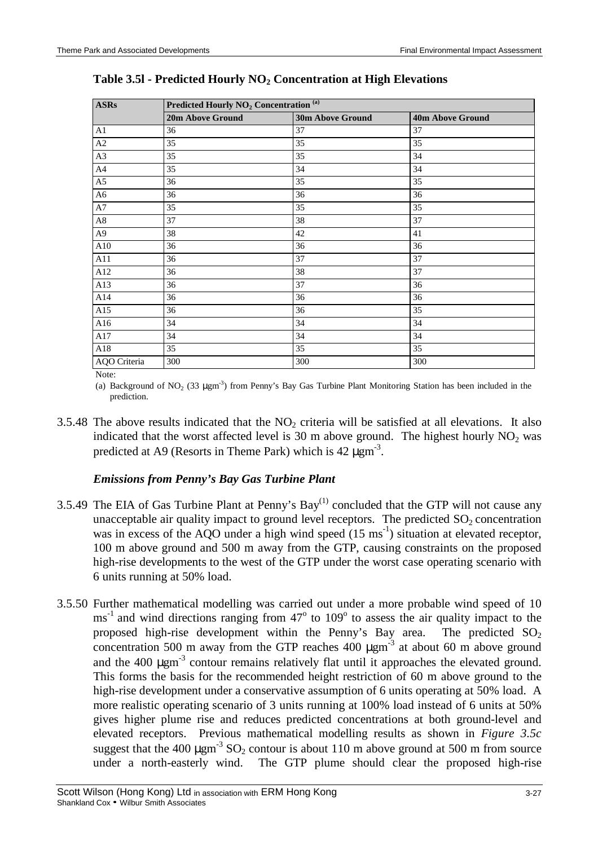| <b>ASRs</b>    | Predicted Hourly NO <sub>2</sub> Concentration <sup>(a)</sup> |                         |                         |  |  |  |
|----------------|---------------------------------------------------------------|-------------------------|-------------------------|--|--|--|
|                | 20m Above Ground                                              | <b>30m Above Ground</b> | <b>40m Above Ground</b> |  |  |  |
| A1             | 36                                                            | 37                      | 37                      |  |  |  |
| A2             | 35                                                            | 35                      | 35                      |  |  |  |
| A3             | 35                                                            | 35                      | 34                      |  |  |  |
| A <sup>4</sup> | 35                                                            | 34                      | 34                      |  |  |  |
| A <sub>5</sub> | 36                                                            | 35                      | 35                      |  |  |  |
| A6             | 36                                                            | 36                      | 36                      |  |  |  |
| A7             | 35                                                            | 35                      | 35                      |  |  |  |
| $\rm A8$       | 37                                                            | 38                      | 37                      |  |  |  |
| A9             | 38                                                            | 42                      | 41                      |  |  |  |
| A10            | 36                                                            | 36                      | 36                      |  |  |  |
| A11            | 36                                                            | 37                      | 37                      |  |  |  |
| A12            | 36                                                            | 38                      | 37                      |  |  |  |
| A13            | 36                                                            | 37                      | 36                      |  |  |  |
| A14            | 36                                                            | 36                      | 36                      |  |  |  |
| A15            | 36                                                            | 36                      | 35                      |  |  |  |
| A16            | 34                                                            | 34                      | 34                      |  |  |  |
| A17            | 34                                                            | 34                      | 34                      |  |  |  |
| A18            | 35                                                            | 35                      | 35                      |  |  |  |
| AQO Criteria   | 300                                                           | 300                     | 300                     |  |  |  |

# Table 3.51 - Predicted Hourly NO<sub>2</sub> Concentration at High Elevations

Note:

(a) Background of  $NO_2$  (33  $\mu$ gm<sup>-3</sup>) from Penny's Bay Gas Turbine Plant Monitoring Station has been included in the prediction.

3.5.48 The above results indicated that the  $NO<sub>2</sub>$  criteria will be satisfied at all elevations. It also indicated that the worst affected level is 30 m above ground. The highest hourly  $NO<sub>2</sub>$  was predicted at A9 (Resorts in Theme Park) which is  $42 \mu \text{gm}^{-3}$ .

# *Emissions from Penny's Bay Gas Turbine Plant*

- 3.5.49 The EIA of Gas Turbine Plant at Penny's  $\text{Bay}^{(1)}$  concluded that the GTP will not cause any unacceptable air quality impact to ground level receptors. The predicted  $SO_2$  concentration was in excess of the AQO under a high wind speed  $(15 \text{ ms}^{-1})$  situation at elevated receptor, 100 m above ground and 500 m away from the GTP, causing constraints on the proposed high-rise developments to the west of the GTP under the worst case operating scenario with 6 units running at 50% load.
- 3.5.50 Further mathematical modelling was carried out under a more probable wind speed of 10  $\text{ms}^{-1}$  and wind directions ranging from 47 $\textdegree$  to 109 $\textdegree$  to assess the air quality impact to the proposed high-rise development within the Penny's Bay area. The predicted  $SO_2$ concentration 500 m away from the GTP reaches  $400 \mu \text{gm}^3$  at about 60 m above ground and the  $400 \mu \text{gm}^3$  contour remains relatively flat until it approaches the elevated ground. This forms the basis for the recommended height restriction of 60 m above ground to the high-rise development under a conservative assumption of 6 units operating at 50% load. A more realistic operating scenario of 3 units running at 100% load instead of 6 units at 50% gives higher plume rise and reduces predicted concentrations at both ground-level and elevated receptors. Previous mathematical modelling results as shown in *Figure 3.5c* suggest that the 400  $\mu$ gm<sup>-3</sup> SO<sub>2</sub> contour is about 110 m above ground at 500 m from source under a north-easterly wind. The GTP plume should clear the proposed high-rise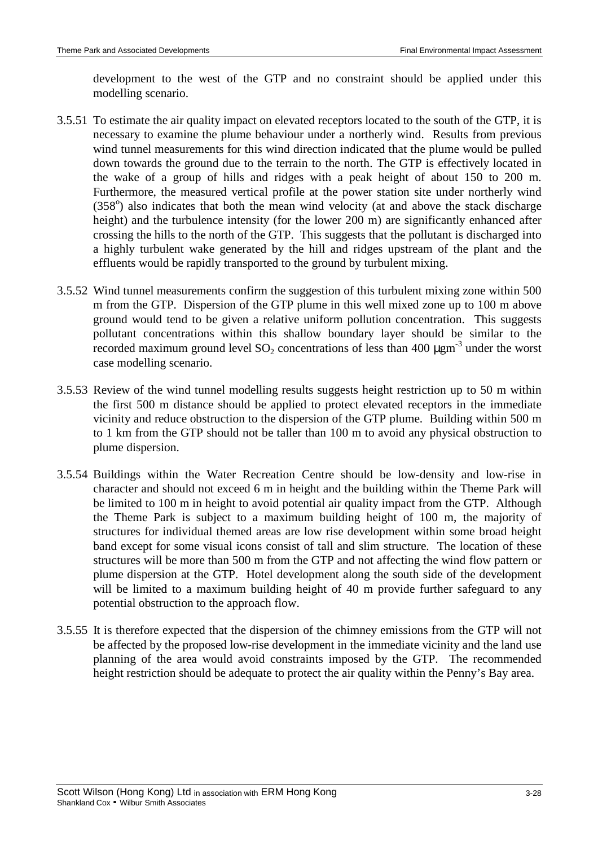development to the west of the GTP and no constraint should be applied under this modelling scenario.

- 3.5.51 To estimate the air quality impact on elevated receptors located to the south of the GTP, it is necessary to examine the plume behaviour under a northerly wind. Results from previous wind tunnel measurements for this wind direction indicated that the plume would be pulled down towards the ground due to the terrain to the north. The GTP is effectively located in the wake of a group of hills and ridges with a peak height of about 150 to 200 m. Furthermore, the measured vertical profile at the power station site under northerly wind (358°) also indicates that both the mean wind velocity (at and above the stack discharge height) and the turbulence intensity (for the lower 200 m) are significantly enhanced after crossing the hills to the north of the GTP. This suggests that the pollutant is discharged into a highly turbulent wake generated by the hill and ridges upstream of the plant and the effluents would be rapidly transported to the ground by turbulent mixing.
- 3.5.52 Wind tunnel measurements confirm the suggestion of this turbulent mixing zone within 500 m from the GTP. Dispersion of the GTP plume in this well mixed zone up to 100 m above ground would tend to be given a relative uniform pollution concentration. This suggests pollutant concentrations within this shallow boundary layer should be similar to the recorded maximum ground level  $SO_2$  concentrations of less than 400  $\mu$ gm<sup>-3</sup> under the worst case modelling scenario.
- 3.5.53 Review of the wind tunnel modelling results suggests height restriction up to 50 m within the first 500 m distance should be applied to protect elevated receptors in the immediate vicinity and reduce obstruction to the dispersion of the GTP plume. Building within 500 m to 1 km from the GTP should not be taller than 100 m to avoid any physical obstruction to plume dispersion.
- 3.5.54 Buildings within the Water Recreation Centre should be low-density and low-rise in character and should not exceed 6 m in height and the building within the Theme Park will be limited to 100 m in height to avoid potential air quality impact from the GTP. Although the Theme Park is subject to a maximum building height of 100 m, the majority of structures for individual themed areas are low rise development within some broad height band except for some visual icons consist of tall and slim structure. The location of these structures will be more than 500 m from the GTP and not affecting the wind flow pattern or plume dispersion at the GTP. Hotel development along the south side of the development will be limited to a maximum building height of 40 m provide further safeguard to any potential obstruction to the approach flow.
- 3.5.55 It is therefore expected that the dispersion of the chimney emissions from the GTP will not be affected by the proposed low-rise development in the immediate vicinity and the land use planning of the area would avoid constraints imposed by the GTP. The recommended height restriction should be adequate to protect the air quality within the Penny's Bay area.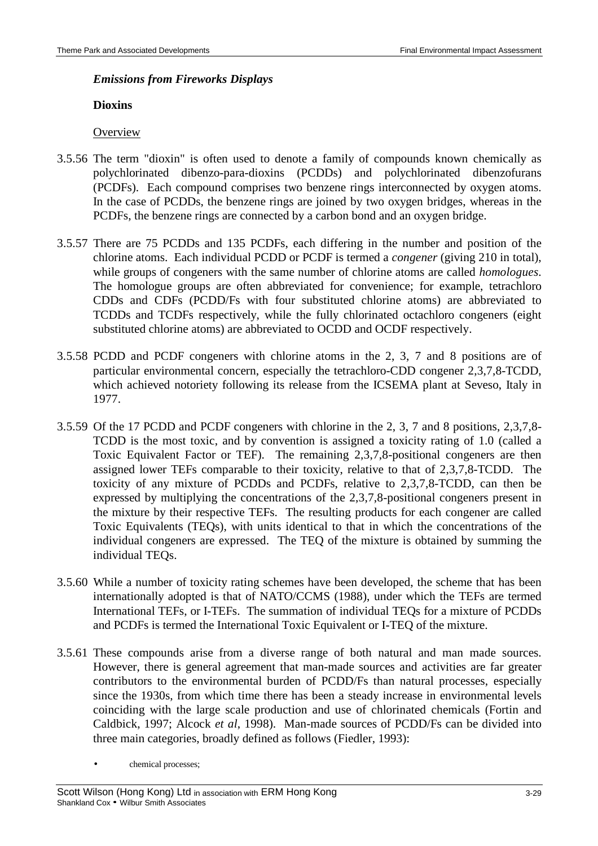#### *Emissions from Fireworks Displays*

#### **Dioxins**

## **Overview**

- 3.5.56 The term "dioxin" is often used to denote a family of compounds known chemically as polychlorinated dibenzo-para-dioxins (PCDDs) and polychlorinated dibenzofurans (PCDFs). Each compound comprises two benzene rings interconnected by oxygen atoms. In the case of PCDDs, the benzene rings are joined by two oxygen bridges, whereas in the PCDFs, the benzene rings are connected by a carbon bond and an oxygen bridge.
- 3.5.57 There are 75 PCDDs and 135 PCDFs, each differing in the number and position of the chlorine atoms. Each individual PCDD or PCDF is termed a *congener* (giving 210 in total), while groups of congeners with the same number of chlorine atoms are called *homologues*. The homologue groups are often abbreviated for convenience; for example, tetrachloro CDDs and CDFs (PCDD/Fs with four substituted chlorine atoms) are abbreviated to TCDDs and TCDFs respectively, while the fully chlorinated octachloro congeners (eight substituted chlorine atoms) are abbreviated to OCDD and OCDF respectively.
- 3.5.58 PCDD and PCDF congeners with chlorine atoms in the 2, 3, 7 and 8 positions are of particular environmental concern, especially the tetrachloro-CDD congener 2,3,7,8-TCDD, which achieved notoriety following its release from the ICSEMA plant at Seveso, Italy in 1977.
- 3.5.59 Of the 17 PCDD and PCDF congeners with chlorine in the 2, 3, 7 and 8 positions, 2,3,7,8- TCDD is the most toxic, and by convention is assigned a toxicity rating of 1.0 (called a Toxic Equivalent Factor or TEF). The remaining 2,3,7,8-positional congeners are then assigned lower TEFs comparable to their toxicity, relative to that of 2,3,7,8-TCDD. The toxicity of any mixture of PCDDs and PCDFs, relative to 2,3,7,8-TCDD, can then be expressed by multiplying the concentrations of the 2,3,7,8-positional congeners present in the mixture by their respective TEFs. The resulting products for each congener are called Toxic Equivalents (TEQs), with units identical to that in which the concentrations of the individual congeners are expressed. The TEQ of the mixture is obtained by summing the individual TEQs.
- 3.5.60 While a number of toxicity rating schemes have been developed, the scheme that has been internationally adopted is that of NATO/CCMS (1988), under which the TEFs are termed International TEFs, or I-TEFs. The summation of individual TEQs for a mixture of PCDDs and PCDFs is termed the International Toxic Equivalent or I-TEQ of the mixture.
- 3.5.61 These compounds arise from a diverse range of both natural and man made sources. However, there is general agreement that man-made sources and activities are far greater contributors to the environmental burden of PCDD/Fs than natural processes, especially since the 1930s, from which time there has been a steady increase in environmental levels coinciding with the large scale production and use of chlorinated chemicals (Fortin and Caldbick, 1997; Alcock *et al*, 1998). Man-made sources of PCDD/Fs can be divided into three main categories, broadly defined as follows (Fiedler, 1993):
	- chemical processes;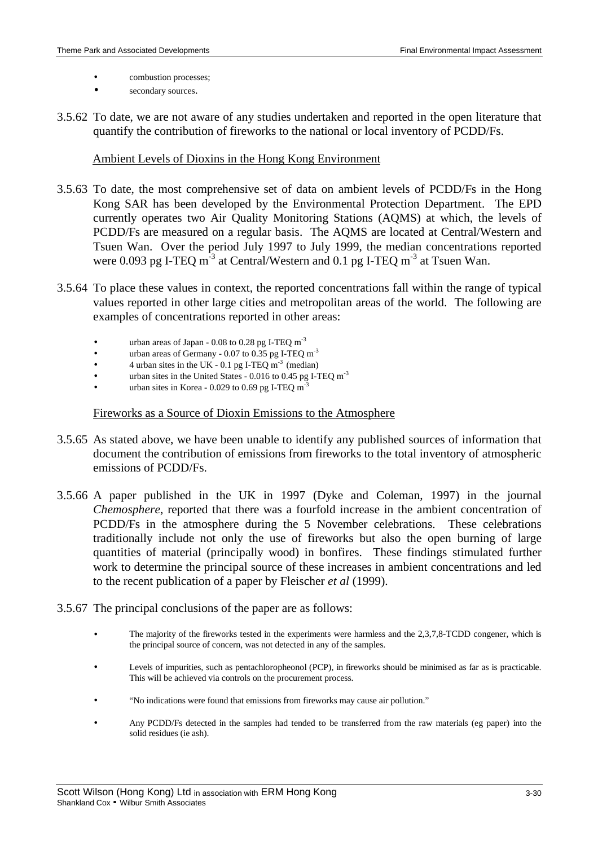- combustion processes;
- secondary sources.
- 3.5.62 To date, we are not aware of any studies undertaken and reported in the open literature that quantify the contribution of fireworks to the national or local inventory of PCDD/Fs.

#### Ambient Levels of Dioxins in the Hong Kong Environment

- 3.5.63 To date, the most comprehensive set of data on ambient levels of PCDD/Fs in the Hong Kong SAR has been developed by the Environmental Protection Department. The EPD currently operates two Air Quality Monitoring Stations (AQMS) at which, the levels of PCDD/Fs are measured on a regular basis. The AQMS are located at Central/Western and Tsuen Wan. Over the period July 1997 to July 1999, the median concentrations reported were 0.093 pg I-TEQ  $m^{-3}$  at Central/Western and 0.1 pg I-TEQ  $m^{-3}$  at Tsuen Wan.
- 3.5.64 To place these values in context, the reported concentrations fall within the range of typical values reported in other large cities and metropolitan areas of the world. The following are examples of concentrations reported in other areas:
	- urban areas of Japan  $0.08$  to  $0.28$  pg I-TEQ m<sup>-3</sup>
	- urban areas of Germany 0.07 to 0.35 pg I-TEQ m<sup>-3</sup>
	- $4$  urban sites in the UK 0.1 pg I-TEQ m<sup>-3</sup> (median)
	- urban sites in the United States 0.016 to 0.45 pg I-TEQ m<sup>-3</sup>
	- urban sites in Korea 0.029 to 0.69 pg I-TEQ m<sup>-3</sup>

### Fireworks as a Source of Dioxin Emissions to the Atmosphere

- 3.5.65 As stated above, we have been unable to identify any published sources of information that document the contribution of emissions from fireworks to the total inventory of atmospheric emissions of PCDD/Fs.
- 3.5.66 A paper published in the UK in 1997 (Dyke and Coleman, 1997) in the journal *Chemosphere*, reported that there was a fourfold increase in the ambient concentration of PCDD/Fs in the atmosphere during the 5 November celebrations. These celebrations traditionally include not only the use of fireworks but also the open burning of large quantities of material (principally wood) in bonfires. These findings stimulated further work to determine the principal source of these increases in ambient concentrations and led to the recent publication of a paper by Fleischer *et al* (1999).
- 3.5.67 The principal conclusions of the paper are as follows:
	- The majority of the fireworks tested in the experiments were harmless and the 2,3,7,8-TCDD congener, which is the principal source of concern, was not detected in any of the samples.
	- Levels of impurities, such as pentachloropheonol (PCP), in fireworks should be minimised as far as is practicable. This will be achieved via controls on the procurement process.
	- "No indications were found that emissions from fireworks may cause air pollution."
	- Any PCDD/Fs detected in the samples had tended to be transferred from the raw materials (eg paper) into the solid residues (ie ash).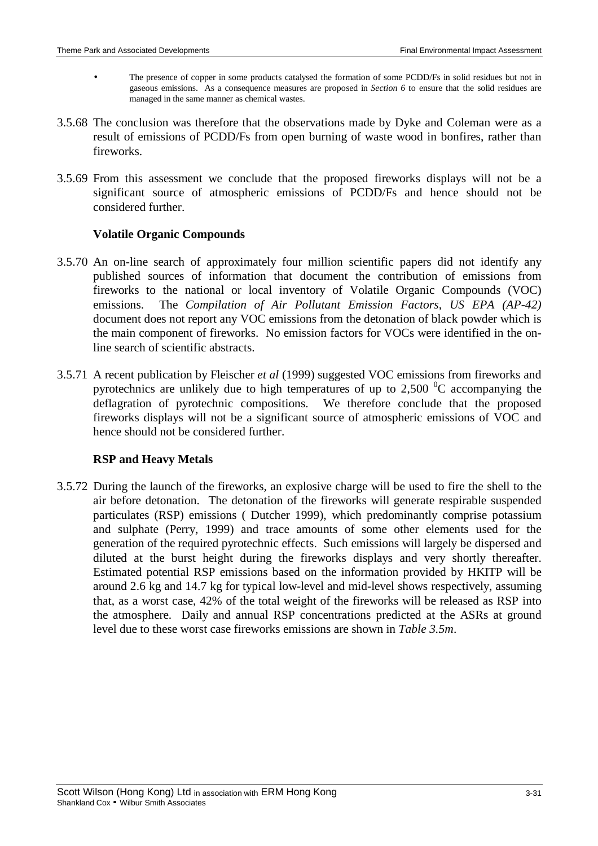- The presence of copper in some products catalysed the formation of some PCDD/Fs in solid residues but not in gaseous emissions. As a consequence measures are proposed in *Section 6* to ensure that the solid residues are managed in the same manner as chemical wastes.
- 3.5.68 The conclusion was therefore that the observations made by Dyke and Coleman were as a result of emissions of PCDD/Fs from open burning of waste wood in bonfires, rather than fireworks.
- 3.5.69 From this assessment we conclude that the proposed fireworks displays will not be a significant source of atmospheric emissions of PCDD/Fs and hence should not be considered further.

## **Volatile Organic Compounds**

- 3.5.70 An on-line search of approximately four million scientific papers did not identify any published sources of information that document the contribution of emissions from fireworks to the national or local inventory of Volatile Organic Compounds (VOC) emissions. The *Compilation of Air Pollutant Emission Factors, US EPA (AP-42)* document does not report any VOC emissions from the detonation of black powder which is the main component of fireworks. No emission factors for VOCs were identified in the online search of scientific abstracts.
- 3.5.71 A recent publication by Fleischer *et al* (1999) suggested VOC emissions from fireworks and pyrotechnics are unlikely due to high temperatures of up to 2,500  $\rm{^0C}$  accompanying the deflagration of pyrotechnic compositions. We therefore conclude that the proposed fireworks displays will not be a significant source of atmospheric emissions of VOC and hence should not be considered further.

# **RSP and Heavy Metals**

3.5.72 During the launch of the fireworks, an explosive charge will be used to fire the shell to the air before detonation. The detonation of the fireworks will generate respirable suspended particulates (RSP) emissions ( Dutcher 1999), which predominantly comprise potassium and sulphate (Perry, 1999) and trace amounts of some other elements used for the generation of the required pyrotechnic effects. Such emissions will largely be dispersed and diluted at the burst height during the fireworks displays and very shortly thereafter. Estimated potential RSP emissions based on the information provided by HKITP will be around 2.6 kg and 14.7 kg for typical low-level and mid-level shows respectively, assuming that, as a worst case, 42% of the total weight of the fireworks will be released as RSP into the atmosphere. Daily and annual RSP concentrations predicted at the ASRs at ground level due to these worst case fireworks emissions are shown in *Table 3.5m*.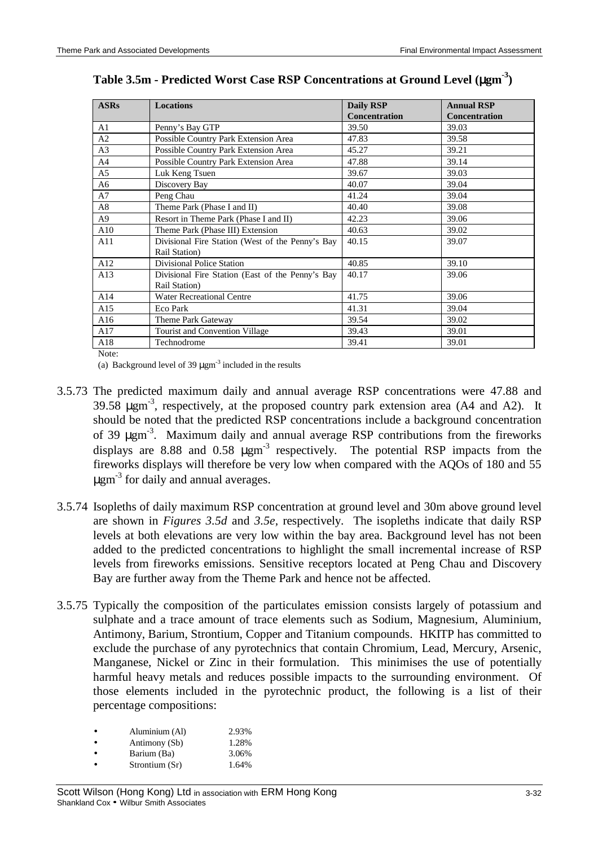| <b>ASRs</b>    | <b>Locations</b>                                 | <b>Daily RSP</b>     | <b>Annual RSP</b>    |
|----------------|--------------------------------------------------|----------------------|----------------------|
|                |                                                  | <b>Concentration</b> | <b>Concentration</b> |
| A1             | Penny's Bay GTP                                  | 39.50                | 39.03                |
| A2             | Possible Country Park Extension Area             | 47.83                | 39.58                |
| A <sub>3</sub> | Possible Country Park Extension Area             | 45.27                | 39.21                |
| A4             | Possible Country Park Extension Area             | 47.88                | 39.14                |
| A5             | Luk Keng Tsuen                                   | 39.67                | 39.03                |
| A6             | Discovery Bay                                    | 40.07                | 39.04                |
| A7             | Peng Chau                                        | 41.24                | 39.04                |
| A8             | Theme Park (Phase I and II)                      | 40.40                | 39.08                |
| A <sub>9</sub> | Resort in Theme Park (Phase I and II)            | 42.23                | 39.06                |
| A10            | Theme Park (Phase III) Extension                 | 40.63                | 39.02                |
| A11            | Divisional Fire Station (West of the Penny's Bay | 40.15                | 39.07                |
|                | Rail Station)                                    |                      |                      |
| A12            | <b>Divisional Police Station</b>                 | 40.85                | 39.10                |
| A13            | Divisional Fire Station (East of the Penny's Bay | 40.17                | 39.06                |
|                | Rail Station)                                    |                      |                      |
| A14            | <b>Water Recreational Centre</b>                 | 41.75                | 39.06                |
| A15            | Eco Park                                         | 41.31                | 39.04                |
| A16            | Theme Park Gateway                               | 39.54                | 39.02                |
| A17            | Tourist and Convention Village                   | 39.43                | 39.01                |
| A18            | Technodrome                                      | 39.41                | 39.01                |
| Note:          |                                                  |                      |                      |

# **Table 3.5m - Predicted Worst Case RSP Concentrations at Ground Level (**µ**gm-3)**

(a) Background level of 39  $\mu$ gm<sup>-3</sup> included in the results

- 3.5.73 The predicted maximum daily and annual average RSP concentrations were 47.88 and 39.58  $\mu$ gm<sup>-3</sup>, respectively, at the proposed country park extension area (A4 and A2). It should be noted that the predicted RSP concentrations include a background concentration of 39 µgm<sup>-3</sup>. Maximum daily and annual average RSP contributions from the fireworks displays are 8.88 and 0.58  $\mu$ gm<sup>-3</sup> respectively. The potential RSP impacts from the fireworks displays will therefore be very low when compared with the AQOs of 180 and 55  $\mu$ gm<sup>-3</sup> for daily and annual averages.
- 3.5.74 Isopleths of daily maximum RSP concentration at ground level and 30m above ground level are shown in *Figures 3.5d* and *3.5e,* respectively. The isopleths indicate that daily RSP levels at both elevations are very low within the bay area. Background level has not been added to the predicted concentrations to highlight the small incremental increase of RSP levels from fireworks emissions. Sensitive receptors located at Peng Chau and Discovery Bay are further away from the Theme Park and hence not be affected.
- 3.5.75 Typically the composition of the particulates emission consists largely of potassium and sulphate and a trace amount of trace elements such as Sodium, Magnesium, Aluminium, Antimony, Barium, Strontium, Copper and Titanium compounds. HKITP has committed to exclude the purchase of any pyrotechnics that contain Chromium, Lead, Mercury, Arsenic, Manganese, Nickel or Zinc in their formulation. This minimises the use of potentially harmful heavy metals and reduces possible impacts to the surrounding environment. Of those elements included in the pyrotechnic product, the following is a list of their percentage compositions:

| Aluminium (Al) | 2.93% |
|----------------|-------|
| Antimony (Sb)  | 1.28% |

- Barium (Ba) 3.06%
- Strontium (Sr) 1.64%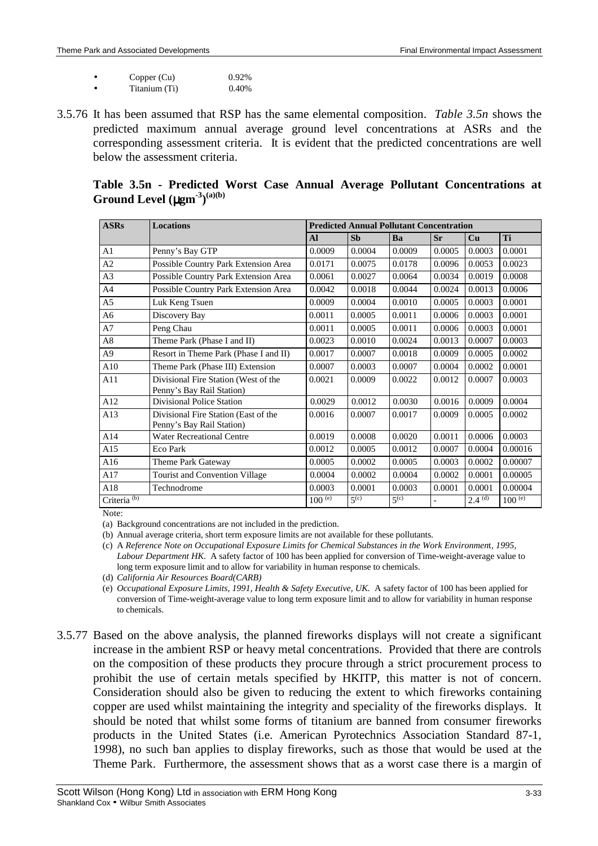| Copper (Cu)   | 0.92% |
|---------------|-------|
| Titanium (Ti) | 0.40% |

3.5.76 It has been assumed that RSP has the same elemental composition. *Table 3.5n* shows the predicted maximum annual average ground level concentrations at ASRs and the corresponding assessment criteria. It is evident that the predicted concentrations are well below the assessment criteria.

| <b>ASRs</b>             | <b>Locations</b>                                                  |               |               | <b>Predicted Annual Pollutant Concentration</b> |           |             |             |  |
|-------------------------|-------------------------------------------------------------------|---------------|---------------|-------------------------------------------------|-----------|-------------|-------------|--|
|                         |                                                                   | $\mathbf{Al}$ | <b>Sb</b>     | Ba                                              | <b>Sr</b> | Cu          | Ti          |  |
| A <sub>1</sub>          | Penny's Bay GTP                                                   | 0.0009        | 0.0004        | 0.0009                                          | 0.0005    | 0.0003      | 0.0001      |  |
| A2                      | Possible Country Park Extension Area                              | 0.0171        | 0.0075        | 0.0178                                          | 0.0096    | 0.0053      | 0.0023      |  |
| A <sub>3</sub>          | Possible Country Park Extension Area                              | 0.0061        | 0.0027        | 0.0064                                          | 0.0034    | 0.0019      | 0.0008      |  |
| A <sub>4</sub>          | Possible Country Park Extension Area                              | 0.0042        | 0.0018        | 0.0044                                          | 0.0024    | 0.0013      | 0.0006      |  |
| A <sub>5</sub>          | Luk Keng Tsuen                                                    | 0.0009        | 0.0004        | 0.0010                                          | 0.0005    | 0.0003      | 0.0001      |  |
| A6                      | Discovery Bay                                                     | 0.0011        | 0.0005        | 0.0011                                          | 0.0006    | 0.0003      | 0.0001      |  |
| A7                      | Peng Chau                                                         | 0.0011        | 0.0005        | 0.0011                                          | 0.0006    | 0.0003      | 0.0001      |  |
| A8                      | Theme Park (Phase I and II)                                       | 0.0023        | 0.0010        | 0.0024                                          | 0.0013    | 0.0007      | 0.0003      |  |
| A <sub>9</sub>          | Resort in Theme Park (Phase I and II)                             | 0.0017        | 0.0007        | 0.0018                                          | 0.0009    | 0.0005      | 0.0002      |  |
| A10                     | Theme Park (Phase III) Extension                                  | 0.0007        | 0.0003        | 0.0007                                          | 0.0004    | 0.0002      | 0.0001      |  |
| A11                     | Divisional Fire Station (West of the<br>Penny's Bay Rail Station) | 0.0021        | 0.0009        | 0.0022                                          | 0.0012    | 0.0007      | 0.0003      |  |
| A12                     | Divisional Police Station                                         | 0.0029        | 0.0012        | 0.0030                                          | 0.0016    | 0.0009      | 0.0004      |  |
| A13                     | Divisional Fire Station (East of the<br>Penny's Bay Rail Station) | 0.0016        | 0.0007        | 0.0017                                          | 0.0009    | 0.0005      | 0.0002      |  |
| A14                     | <b>Water Recreational Centre</b>                                  | 0.0019        | 0.0008        | 0.0020                                          | 0.0011    | 0.0006      | 0.0003      |  |
| A15                     | Eco Park                                                          | 0.0012        | 0.0005        | 0.0012                                          | 0.0007    | 0.0004      | 0.00016     |  |
| A16                     | Theme Park Gateway                                                | 0.0005        | 0.0002        | 0.0005                                          | 0.0003    | 0.0002      | 0.00007     |  |
| A17                     | Tourist and Convention Village                                    | 0.0004        | 0.0002        | 0.0004                                          | 0.0002    | 0.0001      | 0.00005     |  |
| A18                     | Technodrome                                                       | 0.0003        | 0.0001        | 0.0003                                          | 0.0001    | 0.0001      | 0.00004     |  |
| Criteria <sup>(b)</sup> |                                                                   | $100^{(e)}$   | $\zeta^{(c)}$ | $\overline{\mathbf{z}}^{(c)}$                   |           | $2.4^{(d)}$ | $100^{(e)}$ |  |

# **Table 3.5n - Predicted Worst Case Annual Average Pollutant Concentrations at Ground Level (**µ**gm-3) (a)(b)**

Note:

(a) Background concentrations are not included in the prediction.

(b) Annual average criteria, short term exposure limits are not available for these pollutants.

(c) A *Reference Note on Occupational Exposure Limits for Chemical Substances in the Work Environmen*t*, 1995, Labour Department HK*. A safety factor of 100 has been applied for conversion of Time-weight-average value to long term exposure limit and to allow for variability in human response to chemicals.

(e) *Occupational Exposure Limits, 1991, Health & Safety Executive, UK.* A safety factor of 100 has been applied for conversion of Time-weight-average value to long term exposure limit and to allow for variability in human response to chemicals.

3.5.77 Based on the above analysis, the planned fireworks displays will not create a significant increase in the ambient RSP or heavy metal concentrations. Provided that there are controls on the composition of these products they procure through a strict procurement process to prohibit the use of certain metals specified by HKITP, this matter is not of concern. Consideration should also be given to reducing the extent to which fireworks containing copper are used whilst maintaining the integrity and speciality of the fireworks displays. It should be noted that whilst some forms of titanium are banned from consumer fireworks products in the United States (i.e. American Pyrotechnics Association Standard 87-1, 1998), no such ban applies to display fireworks, such as those that would be used at the Theme Park. Furthermore, the assessment shows that as a worst case there is a margin of

<sup>(</sup>d) *California Air Resources Board(CARB)*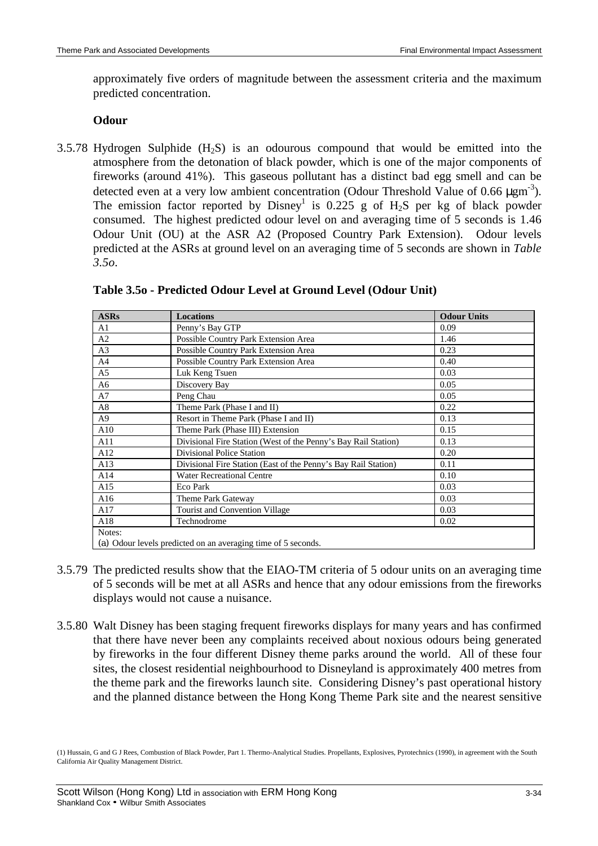approximately five orders of magnitude between the assessment criteria and the maximum predicted concentration.

### **Odour**

 $3.5.78$  Hydrogen Sulphide  $(H<sub>2</sub>S)$  is an odourous compound that would be emitted into the atmosphere from the detonation of black powder, which is one of the major components of fireworks (around 41%). This gaseous pollutant has a distinct bad egg smell and can be detected even at a very low ambient concentration (Odour Threshold Value of 0.66  $\mu \text{gm}^{-3}$ ). The emission factor reported by  $Disney^1$  is 0.225 g of  $H_2S$  per kg of black powder consumed. The highest predicted odour level on and averaging time of 5 seconds is 1.46 Odour Unit (OU) at the ASR A2 (Proposed Country Park Extension). Odour levels predicted at the ASRs at ground level on an averaging time of 5 seconds are shown in *Table 3.5o*.

| <b>ASRs</b>    | <b>Locations</b>                                               | <b>Odour Units</b> |
|----------------|----------------------------------------------------------------|--------------------|
| A1             | Penny's Bay GTP                                                | 0.09               |
| A2             | Possible Country Park Extension Area                           | 1.46               |
| A <sub>3</sub> | Possible Country Park Extension Area                           | 0.23               |
| A <sup>4</sup> | Possible Country Park Extension Area                           | 0.40               |
| A <sub>5</sub> | Luk Keng Tsuen                                                 | 0.03               |
| A6             | Discovery Bay                                                  | 0.05               |
| A7             | Peng Chau                                                      | 0.05               |
| A8             | Theme Park (Phase I and II)                                    | 0.22               |
| A <sub>9</sub> | Resort in Theme Park (Phase I and II)                          | 0.13               |
| A10            | Theme Park (Phase III) Extension                               | 0.15               |
| A11            | Divisional Fire Station (West of the Penny's Bay Rail Station) | 0.13               |
| A12            | <b>Divisional Police Station</b>                               | 0.20               |
| A13            | Divisional Fire Station (East of the Penny's Bay Rail Station) | 0.11               |
| A14            | <b>Water Recreational Centre</b>                               | 0.10               |
| A15            | Eco Park                                                       | 0.03               |
| A16            | Theme Park Gateway                                             | 0.03               |
| A17            | Tourist and Convention Village                                 | 0.03               |
| A18            | Technodrome                                                    | 0.02               |
| Notes:         |                                                                |                    |
|                | (a) Odour levels predicted on an averaging time of 5 seconds.  |                    |

|  | Table 3.50 - Predicted Odour Level at Ground Level (Odour Unit) |  |
|--|-----------------------------------------------------------------|--|
|--|-----------------------------------------------------------------|--|

- 3.5.79 The predicted results show that the EIAO-TM criteria of 5 odour units on an averaging time of 5 seconds will be met at all ASRs and hence that any odour emissions from the fireworks displays would not cause a nuisance.
- 3.5.80 Walt Disney has been staging frequent fireworks displays for many years and has confirmed that there have never been any complaints received about noxious odours being generated by fireworks in the four different Disney theme parks around the world. All of these four sites, the closest residential neighbourhood to Disneyland is approximately 400 metres from the theme park and the fireworks launch site. Considering Disney's past operational history and the planned distance between the Hong Kong Theme Park site and the nearest sensitive

<sup>(1)</sup> Hussain, G and G J Rees, Combustion of Black Powder, Part 1. Thermo-Analytical Studies. Propellants, Explosives, Pyrotechnics (1990), in agreement with the South California Air Quality Management District.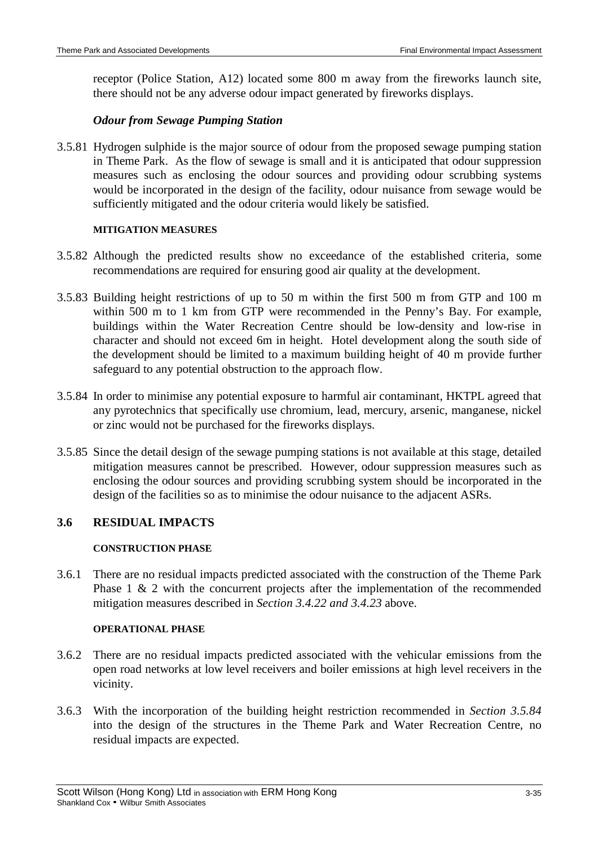receptor (Police Station, A12) located some 800 m away from the fireworks launch site, there should not be any adverse odour impact generated by fireworks displays.

## *Odour from Sewage Pumping Station*

3.5.81 Hydrogen sulphide is the major source of odour from the proposed sewage pumping station in Theme Park. As the flow of sewage is small and it is anticipated that odour suppression measures such as enclosing the odour sources and providing odour scrubbing systems would be incorporated in the design of the facility, odour nuisance from sewage would be sufficiently mitigated and the odour criteria would likely be satisfied.

#### **MITIGATION MEASURES**

- 3.5.82 Although the predicted results show no exceedance of the established criteria, some recommendations are required for ensuring good air quality at the development.
- 3.5.83 Building height restrictions of up to 50 m within the first 500 m from GTP and 100 m within 500 m to 1 km from GTP were recommended in the Penny's Bay. For example, buildings within the Water Recreation Centre should be low-density and low-rise in character and should not exceed 6m in height. Hotel development along the south side of the development should be limited to a maximum building height of 40 m provide further safeguard to any potential obstruction to the approach flow.
- 3.5.84 In order to minimise any potential exposure to harmful air contaminant, HKTPL agreed that any pyrotechnics that specifically use chromium, lead, mercury, arsenic, manganese, nickel or zinc would not be purchased for the fireworks displays.
- 3.5.85 Since the detail design of the sewage pumping stations is not available at this stage, detailed mitigation measures cannot be prescribed. However, odour suppression measures such as enclosing the odour sources and providing scrubbing system should be incorporated in the design of the facilities so as to minimise the odour nuisance to the adjacent ASRs.

# **3.6 RESIDUAL IMPACTS**

### **CONSTRUCTION PHASE**

3.6.1 There are no residual impacts predicted associated with the construction of the Theme Park Phase 1 & 2 with the concurrent projects after the implementation of the recommended mitigation measures described in *Section 3.4.22 and 3.4.23* above.

#### **OPERATIONAL PHASE**

- 3.6.2 There are no residual impacts predicted associated with the vehicular emissions from the open road networks at low level receivers and boiler emissions at high level receivers in the vicinity.
- 3.6.3 With the incorporation of the building height restriction recommended in *Section 3.5.84* into the design of the structures in the Theme Park and Water Recreation Centre, no residual impacts are expected.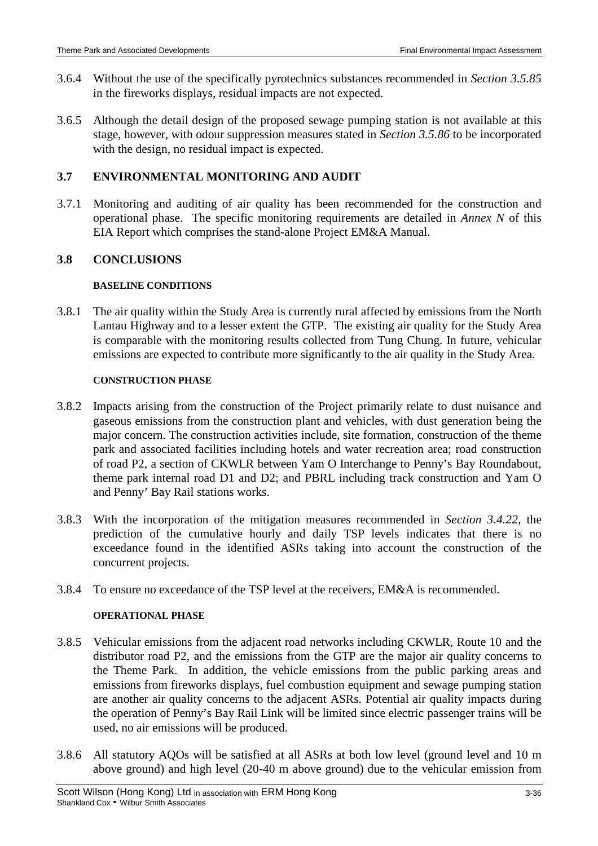- 3.6.4 Without the use of the specifically pyrotechnics substances recommended in *Section 3.5.85* in the fireworks displays, residual impacts are not expected.
- 3.6.5 Although the detail design of the proposed sewage pumping station is not available at this stage, however, with odour suppression measures stated in *Section 3.5.86* to be incorporated with the design, no residual impact is expected.

# **3.7 ENVIRONMENTAL MONITORING AND AUDIT**

3.7.1 Monitoring and auditing of air quality has been recommended for the construction and operational phase. The specific monitoring requirements are detailed in *Annex N* of this EIA Report which comprises the stand-alone Project EM&A Manual.

# **3.8 CONCLUSIONS**

## **BASELINE CONDITIONS**

3.8.1 The air quality within the Study Area is currently rural affected by emissions from the North Lantau Highway and to a lesser extent the GTP. The existing air quality for the Study Area is comparable with the monitoring results collected from Tung Chung. In future, vehicular emissions are expected to contribute more significantly to the air quality in the Study Area.

## **CONSTRUCTION PHASE**

- 3.8.2 Impacts arising from the construction of the Project primarily relate to dust nuisance and gaseous emissions from the construction plant and vehicles, with dust generation being the major concern. The construction activities include, site formation, construction of the theme park and associated facilities including hotels and water recreation area; road construction of road P2, a section of CKWLR between Yam O Interchange to Penny's Bay Roundabout, theme park internal road D1 and D2; and PBRL including track construction and Yam O and Penny' Bay Rail stations works.
- 3.8.3 With the incorporation of the mitigation measures recommended in *Section 3.4.22*, the prediction of the cumulative hourly and daily TSP levels indicates that there is no exceedance found in the identified ASRs taking into account the construction of the concurrent projects.
- 3.8.4 To ensure no exceedance of the TSP level at the receivers, EM&A is recommended.

### **OPERATIONAL PHASE**

- 3.8.5 Vehicular emissions from the adjacent road networks including CKWLR, Route 10 and the distributor road P2, and the emissions from the GTP are the major air quality concerns to the Theme Park. In addition, the vehicle emissions from the public parking areas and emissions from fireworks displays, fuel combustion equipment and sewage pumping station are another air quality concerns to the adjacent ASRs. Potential air quality impacts during the operation of Penny's Bay Rail Link will be limited since electric passenger trains will be used, no air emissions will be produced.
- 3.8.6 All statutory AQOs will be satisfied at all ASRs at both low level (ground level and 10 m above ground) and high level (20-40 m above ground) due to the vehicular emission from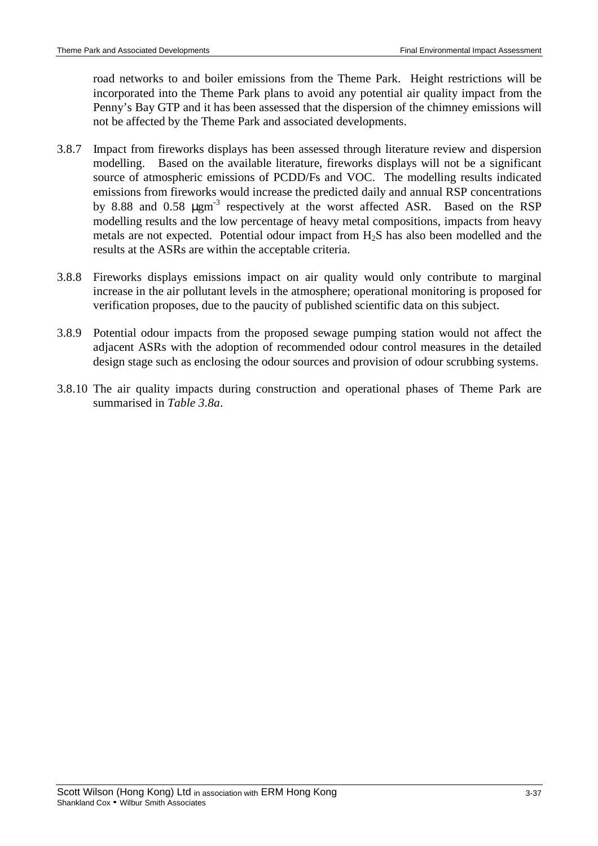road networks to and boiler emissions from the Theme Park. Height restrictions will be incorporated into the Theme Park plans to avoid any potential air quality impact from the Penny's Bay GTP and it has been assessed that the dispersion of the chimney emissions will not be affected by the Theme Park and associated developments.

- 3.8.7 Impact from fireworks displays has been assessed through literature review and dispersion modelling. Based on the available literature, fireworks displays will not be a significant source of atmospheric emissions of PCDD/Fs and VOC. The modelling results indicated emissions from fireworks would increase the predicted daily and annual RSP concentrations by 8.88 and 0.58  $\mu$ gm<sup>-3</sup> respectively at the worst affected ASR. Based on the RSP modelling results and the low percentage of heavy metal compositions, impacts from heavy metals are not expected. Potential odour impact from  $H_2S$  has also been modelled and the results at the ASRs are within the acceptable criteria.
- 3.8.8 Fireworks displays emissions impact on air quality would only contribute to marginal increase in the air pollutant levels in the atmosphere; operational monitoring is proposed for verification proposes, due to the paucity of published scientific data on this subject.
- 3.8.9 Potential odour impacts from the proposed sewage pumping station would not affect the adjacent ASRs with the adoption of recommended odour control measures in the detailed design stage such as enclosing the odour sources and provision of odour scrubbing systems.
- 3.8.10 The air quality impacts during construction and operational phases of Theme Park are summarised in *Table 3.8a*.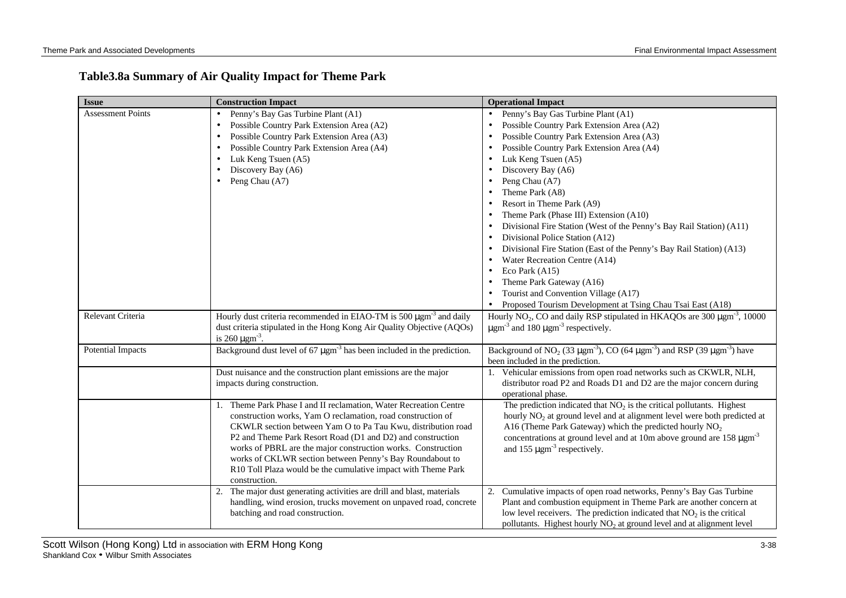# **Table3.8a Summary of Air Quality Impact for Theme Park**

| <b>Issue</b>             | <b>Construction Impact</b>                                                                                                                                                                                                                                                                                                                                                                                                                                                   | <b>Operational Impact</b>                                                                                                                                                                                                                                                                                                                                                                                                                                                                                                                                                                                                                                                                                      |
|--------------------------|------------------------------------------------------------------------------------------------------------------------------------------------------------------------------------------------------------------------------------------------------------------------------------------------------------------------------------------------------------------------------------------------------------------------------------------------------------------------------|----------------------------------------------------------------------------------------------------------------------------------------------------------------------------------------------------------------------------------------------------------------------------------------------------------------------------------------------------------------------------------------------------------------------------------------------------------------------------------------------------------------------------------------------------------------------------------------------------------------------------------------------------------------------------------------------------------------|
| <b>Assessment Points</b> | Penny's Bay Gas Turbine Plant (A1)<br>$\bullet$<br>Possible Country Park Extension Area (A2)<br>Possible Country Park Extension Area (A3)<br>Possible Country Park Extension Area (A4)<br>Luk Keng Tsuen (A5)<br>Discovery Bay (A6)<br>Peng Chau (A7)                                                                                                                                                                                                                        | • Penny's Bay Gas Turbine Plant (A1)<br>Possible Country Park Extension Area (A2)<br>Possible Country Park Extension Area (A3)<br>Possible Country Park Extension Area (A4)<br>Luk Keng Tsuen (A5)<br>Discovery Bay (A6)<br>Peng Chau (A7)<br>Theme Park (A8)<br>Resort in Theme Park (A9)<br>Theme Park (Phase III) Extension (A10)<br>Divisional Fire Station (West of the Penny's Bay Rail Station) (A11)<br>Divisional Police Station (A12)<br>Divisional Fire Station (East of the Penny's Bay Rail Station) (A13)<br>Water Recreation Centre (A14)<br>Eco Park $(A15)$<br>Theme Park Gateway (A16)<br>Tourist and Convention Village (A17)<br>Proposed Tourism Development at Tsing Chau Tsai East (A18) |
| Relevant Criteria        | Hourly dust criteria recommended in EIAO-TM is 500 $\mu$ gm <sup>-3</sup> and daily<br>dust criteria stipulated in the Hong Kong Air Quality Objective (AQOs)<br>is 260 $\mu$ gm <sup>-3</sup> .                                                                                                                                                                                                                                                                             | $\bullet$<br>Hourly NO <sub>2</sub> , CO and daily RSP stipulated in HKAQOs are 300 $\mu$ gm <sup>-3</sup> , 10000<br>$\mu$ gm <sup>-3</sup> and 180 $\mu$ gm <sup>-3</sup> respectively.                                                                                                                                                                                                                                                                                                                                                                                                                                                                                                                      |
| <b>Potential Impacts</b> | Background dust level of 67 $\mu$ gm <sup>-3</sup> has been included in the prediction.                                                                                                                                                                                                                                                                                                                                                                                      | Background of NO <sub>2</sub> (33 $\mu$ gm <sup>-3</sup> ), CO (64 $\mu$ gm <sup>-3</sup> ) and RSP (39 $\mu$ gm <sup>-3</sup> ) have<br>been included in the prediction.                                                                                                                                                                                                                                                                                                                                                                                                                                                                                                                                      |
|                          | Dust nuisance and the construction plant emissions are the major<br>impacts during construction.                                                                                                                                                                                                                                                                                                                                                                             | 1. Vehicular emissions from open road networks such as CKWLR, NLH,<br>distributor road P2 and Roads D1 and D2 are the major concern during<br>operational phase.                                                                                                                                                                                                                                                                                                                                                                                                                                                                                                                                               |
|                          | 1. Theme Park Phase I and II reclamation, Water Recreation Centre<br>construction works, Yam O reclamation, road construction of<br>CKWLR section between Yam O to Pa Tau Kwu, distribution road<br>P2 and Theme Park Resort Road (D1 and D2) and construction<br>works of PBRL are the major construction works. Construction<br>works of CKLWR section between Penny's Bay Roundabout to<br>R10 Toll Plaza would be the cumulative impact with Theme Park<br>construction. | The prediction indicated that $NO2$ is the critical pollutants. Highest<br>hourly NO <sub>2</sub> at ground level and at alignment level were both predicted at<br>A16 (Theme Park Gateway) which the predicted hourly $NO2$<br>concentrations at ground level and at 10m above ground are $158 \mu \text{gm}^3$<br>and 155 $\mu$ gm <sup>-3</sup> respectively.                                                                                                                                                                                                                                                                                                                                               |
|                          | The major dust generating activities are drill and blast, materials<br>2.<br>handling, wind erosion, trucks movement on unpaved road, concrete<br>batching and road construction.                                                                                                                                                                                                                                                                                            | 2. Cumulative impacts of open road networks, Penny's Bay Gas Turbine<br>Plant and combustion equipment in Theme Park are another concern at<br>low level receivers. The prediction indicated that $NO2$ is the critical<br>pollutants. Highest hourly $NO2$ at ground level and at alignment level                                                                                                                                                                                                                                                                                                                                                                                                             |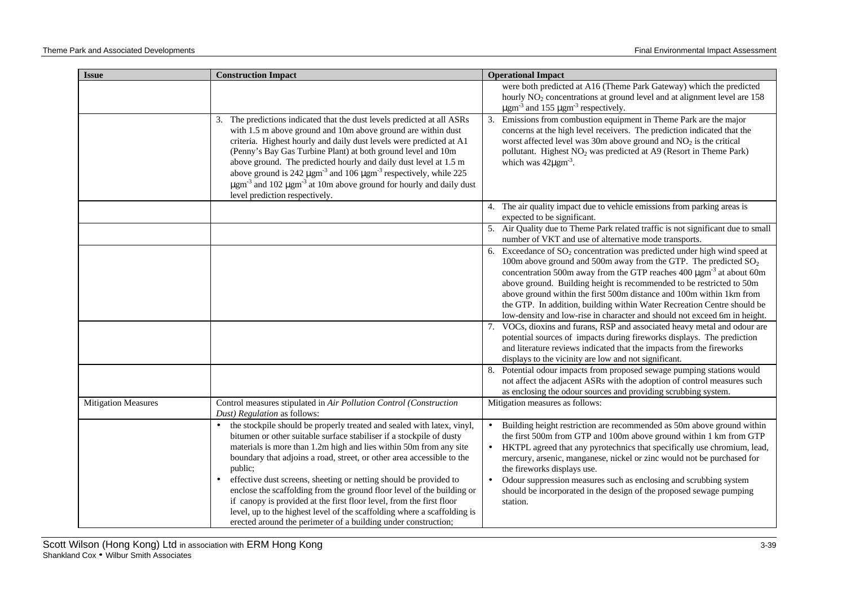| <b>Issue</b>               | <b>Construction Impact</b>                                                                                                                                                                                                                                                                                                                                                                                                                                                                                                                                                                                                                                                                  | <b>Operational Impact</b>                                                                                                                                                                                                                                                                                                                                                                                                                                                                                                                                                                                                                                                                                                                                                                                                             |
|----------------------------|---------------------------------------------------------------------------------------------------------------------------------------------------------------------------------------------------------------------------------------------------------------------------------------------------------------------------------------------------------------------------------------------------------------------------------------------------------------------------------------------------------------------------------------------------------------------------------------------------------------------------------------------------------------------------------------------|---------------------------------------------------------------------------------------------------------------------------------------------------------------------------------------------------------------------------------------------------------------------------------------------------------------------------------------------------------------------------------------------------------------------------------------------------------------------------------------------------------------------------------------------------------------------------------------------------------------------------------------------------------------------------------------------------------------------------------------------------------------------------------------------------------------------------------------|
|                            |                                                                                                                                                                                                                                                                                                                                                                                                                                                                                                                                                                                                                                                                                             | were both predicted at A16 (Theme Park Gateway) which the predicted<br>hourly NO <sub>2</sub> concentrations at ground level and at alignment level are 158<br>$\mu$ gm <sup>-3</sup> and 155 $\mu$ gm <sup>-3</sup> respectively.                                                                                                                                                                                                                                                                                                                                                                                                                                                                                                                                                                                                    |
|                            | The predictions indicated that the dust levels predicted at all ASRs<br>3.<br>with 1.5 m above ground and 10m above ground are within dust<br>criteria. Highest hourly and daily dust levels were predicted at A1<br>(Penny's Bay Gas Turbine Plant) at both ground level and 10m<br>above ground. The predicted hourly and daily dust level at 1.5 m<br>above ground is 242 $\mu$ gm <sup>-3</sup> and 106 $\mu$ gm <sup>-3</sup> respectively, while 225<br>$\mu$ gm <sup>-3</sup> and 102 $\mu$ gm <sup>-3</sup> at 10m above ground for hourly and daily dust<br>level prediction respectively.                                                                                         | Emissions from combustion equipment in Theme Park are the major<br>3.<br>concerns at the high level receivers. The prediction indicated that the<br>worst affected level was 30m above ground and $NO2$ is the critical<br>pollutant. Highest NO <sub>2</sub> was predicted at A9 (Resort in Theme Park)<br>which was $42\mu\text{gm}^3$ .                                                                                                                                                                                                                                                                                                                                                                                                                                                                                            |
|                            |                                                                                                                                                                                                                                                                                                                                                                                                                                                                                                                                                                                                                                                                                             | 4. The air quality impact due to vehicle emissions from parking areas is<br>expected to be significant.                                                                                                                                                                                                                                                                                                                                                                                                                                                                                                                                                                                                                                                                                                                               |
|                            |                                                                                                                                                                                                                                                                                                                                                                                                                                                                                                                                                                                                                                                                                             | 5. Air Quality due to Theme Park related traffic is not significant due to small<br>number of VKT and use of alternative mode transports.                                                                                                                                                                                                                                                                                                                                                                                                                                                                                                                                                                                                                                                                                             |
|                            |                                                                                                                                                                                                                                                                                                                                                                                                                                                                                                                                                                                                                                                                                             | 6. Exceedance of $SO_2$ concentration was predicted under high wind speed at<br>100m above ground and 500m away from the GTP. The predicted $SO_2$<br>concentration 500m away from the GTP reaches 400 µgm <sup>-3</sup> at about 60m<br>above ground. Building height is recommended to be restricted to 50m<br>above ground within the first 500m distance and 100m within 1km from<br>the GTP. In addition, building within Water Recreation Centre should be<br>low-density and low-rise in character and should not exceed 6m in height.<br>7. VOCs, dioxins and furans, RSP and associated heavy metal and odour are<br>potential sources of impacts during fireworks displays. The prediction<br>and literature reviews indicated that the impacts from the fireworks<br>displays to the vicinity are low and not significant. |
|                            |                                                                                                                                                                                                                                                                                                                                                                                                                                                                                                                                                                                                                                                                                             | 8. Potential odour impacts from proposed sewage pumping stations would<br>not affect the adjacent ASRs with the adoption of control measures such<br>as enclosing the odour sources and providing scrubbing system.                                                                                                                                                                                                                                                                                                                                                                                                                                                                                                                                                                                                                   |
| <b>Mitigation Measures</b> | Control measures stipulated in Air Pollution Control (Construction<br>Dust) Regulation as follows:                                                                                                                                                                                                                                                                                                                                                                                                                                                                                                                                                                                          | Mitigation measures as follows:                                                                                                                                                                                                                                                                                                                                                                                                                                                                                                                                                                                                                                                                                                                                                                                                       |
|                            | the stockpile should be properly treated and sealed with latex, vinyl,<br>$\bullet$<br>bitumen or other suitable surface stabiliser if a stockpile of dusty<br>materials is more than 1.2m high and lies within 50m from any site<br>boundary that adjoins a road, street, or other area accessible to the<br>public;<br>effective dust screens, sheeting or netting should be provided to<br>enclose the scaffolding from the ground floor level of the building or<br>if can opy is provided at the first floor level, from the first floor<br>level, up to the highest level of the scaffolding where a scaffolding is<br>erected around the perimeter of a building under construction; | Building height restriction are recommended as 50m above ground within<br>$\bullet$<br>the first 500m from GTP and 100m above ground within 1 km from GTP<br>HKTPL agreed that any pyrotechnics that specifically use chromium, lead,<br>$\bullet$<br>mercury, arsenic, manganese, nickel or zinc would not be purchased for<br>the fireworks displays use.<br>Odour suppression measures such as enclosing and scrubbing system<br>$\bullet$<br>should be incorporated in the design of the proposed sewage pumping<br>station.                                                                                                                                                                                                                                                                                                      |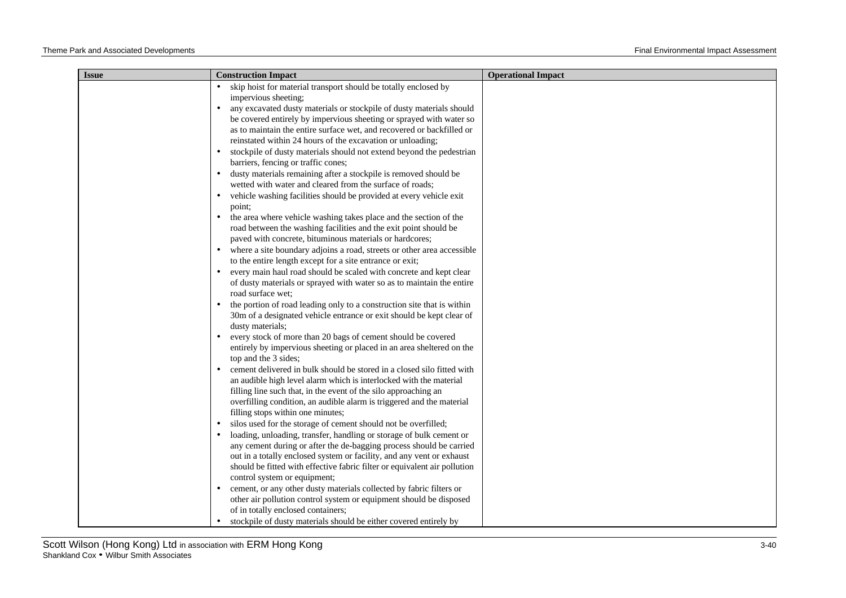| <b>Issue</b> | <b>Construction Impact</b>                                                                                                                                      | <b>Operational Impact</b> |
|--------------|-----------------------------------------------------------------------------------------------------------------------------------------------------------------|---------------------------|
|              | skip hoist for material transport should be totally enclosed by<br>impervious sheeting;<br>any excavated dusty materials or stockpile of dusty materials should |                           |
|              | be covered entirely by impervious sheeting or sprayed with water so<br>as to maintain the entire surface wet, and recovered or backfilled or                    |                           |
|              | reinstated within 24 hours of the excavation or unloading;                                                                                                      |                           |
|              | stockpile of dusty materials should not extend beyond the pedestrian                                                                                            |                           |
|              | barriers, fencing or traffic cones;                                                                                                                             |                           |
|              | dusty materials remaining after a stockpile is removed should be<br>$\bullet$<br>wetted with water and cleared from the surface of roads;                       |                           |
|              | vehicle washing facilities should be provided at every vehicle exit                                                                                             |                           |
|              | point;                                                                                                                                                          |                           |
|              | the area where vehicle washing takes place and the section of the                                                                                               |                           |
|              | road between the washing facilities and the exit point should be                                                                                                |                           |
|              | paved with concrete, bituminous materials or hardcores;                                                                                                         |                           |
|              | where a site boundary adjoins a road, streets or other area accessible<br>to the entire length except for a site entrance or exit;                              |                           |
|              | every main haul road should be scaled with concrete and kept clear<br>$\bullet$                                                                                 |                           |
|              | of dusty materials or sprayed with water so as to maintain the entire                                                                                           |                           |
|              | road surface wet;<br>the portion of road leading only to a construction site that is within                                                                     |                           |
|              | 30m of a designated vehicle entrance or exit should be kept clear of                                                                                            |                           |
|              | dusty materials;                                                                                                                                                |                           |
|              | every stock of more than 20 bags of cement should be covered                                                                                                    |                           |
|              | entirely by impervious sheeting or placed in an area sheltered on the<br>top and the 3 sides;                                                                   |                           |
|              | cement delivered in bulk should be stored in a closed silo fitted with                                                                                          |                           |
|              | an audible high level alarm which is interlocked with the material                                                                                              |                           |
|              | filling line such that, in the event of the silo approaching an                                                                                                 |                           |
|              | overfilling condition, an audible alarm is triggered and the material                                                                                           |                           |
|              | filling stops within one minutes;                                                                                                                               |                           |
|              | silos used for the storage of cement should not be overfilled;<br>loading, unloading, transfer, handling or storage of bulk cement or                           |                           |
|              | any cement during or after the de-bagging process should be carried                                                                                             |                           |
|              | out in a totally enclosed system or facility, and any vent or exhaust                                                                                           |                           |
|              | should be fitted with effective fabric filter or equivalent air pollution                                                                                       |                           |
|              | control system or equipment;                                                                                                                                    |                           |
|              | cement, or any other dusty materials collected by fabric filters or<br>$\bullet$                                                                                |                           |
|              | other air pollution control system or equipment should be disposed                                                                                              |                           |
|              | of in totally enclosed containers;<br>stockpile of dusty materials should be either covered entirely by                                                         |                           |
|              |                                                                                                                                                                 |                           |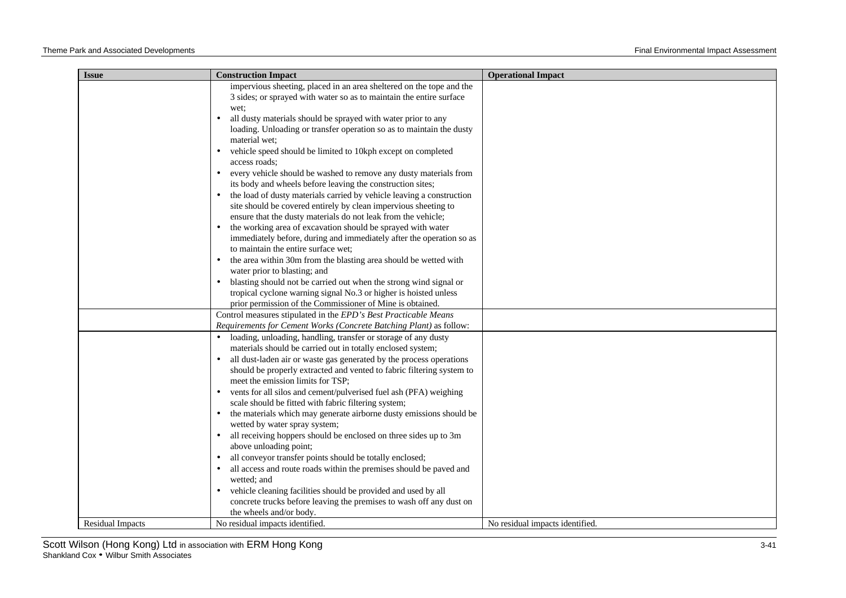| <b>Issue</b>            | <b>Construction Impact</b>                                                                                  | <b>Operational Impact</b>       |
|-------------------------|-------------------------------------------------------------------------------------------------------------|---------------------------------|
|                         | impervious sheeting, placed in an area sheltered on the tope and the                                        |                                 |
|                         | 3 sides; or sprayed with water so as to maintain the entire surface                                         |                                 |
|                         | wet:                                                                                                        |                                 |
|                         | all dusty materials should be sprayed with water prior to any                                               |                                 |
|                         | loading. Unloading or transfer operation so as to maintain the dusty                                        |                                 |
|                         | material wet:                                                                                               |                                 |
|                         | vehicle speed should be limited to 10kph except on completed                                                |                                 |
|                         | access roads;                                                                                               |                                 |
|                         | every vehicle should be washed to remove any dusty materials from<br>$\bullet$                              |                                 |
|                         | its body and wheels before leaving the construction sites;                                                  |                                 |
|                         | the load of dusty materials carried by vehicle leaving a construction                                       |                                 |
|                         | site should be covered entirely by clean impervious sheeting to                                             |                                 |
|                         | ensure that the dusty materials do not leak from the vehicle;                                               |                                 |
|                         | the working area of excavation should be sprayed with water<br>$\bullet$                                    |                                 |
|                         | immediately before, during and immediately after the operation so as<br>to maintain the entire surface wet; |                                 |
|                         |                                                                                                             |                                 |
|                         | the area within 30m from the blasting area should be wetted with<br>water prior to blasting; and            |                                 |
|                         | blasting should not be carried out when the strong wind signal or                                           |                                 |
|                         | tropical cyclone warning signal No.3 or higher is hoisted unless                                            |                                 |
|                         | prior permission of the Commissioner of Mine is obtained.                                                   |                                 |
|                         | Control measures stipulated in the EPD's Best Practicable Means                                             |                                 |
|                         | Requirements for Cement Works (Concrete Batching Plant) as follow:                                          |                                 |
|                         | loading, unloading, handling, transfer or storage of any dusty                                              |                                 |
|                         | materials should be carried out in totally enclosed system;                                                 |                                 |
|                         | all dust-laden air or waste gas generated by the process operations<br>$\bullet$                            |                                 |
|                         | should be properly extracted and vented to fabric filtering system to                                       |                                 |
|                         | meet the emission limits for TSP;                                                                           |                                 |
|                         | vents for all silos and cement/pulverised fuel ash (PFA) weighing<br>$\bullet$                              |                                 |
|                         | scale should be fitted with fabric filtering system;                                                        |                                 |
|                         | the materials which may generate airborne dusty emissions should be<br>$\bullet$                            |                                 |
|                         | wetted by water spray system;                                                                               |                                 |
|                         | all receiving hoppers should be enclosed on three sides up to 3m<br>$\bullet$                               |                                 |
|                         | above unloading point;                                                                                      |                                 |
|                         | all conveyor transfer points should be totally enclosed;<br>$\bullet$                                       |                                 |
|                         | all access and route roads within the premises should be paved and                                          |                                 |
|                         | wetted; and                                                                                                 |                                 |
|                         | vehicle cleaning facilities should be provided and used by all                                              |                                 |
|                         | concrete trucks before leaving the premises to wash off any dust on                                         |                                 |
|                         | the wheels and/or body.                                                                                     |                                 |
| <b>Residual Impacts</b> | No residual impacts identified.                                                                             | No residual impacts identified. |